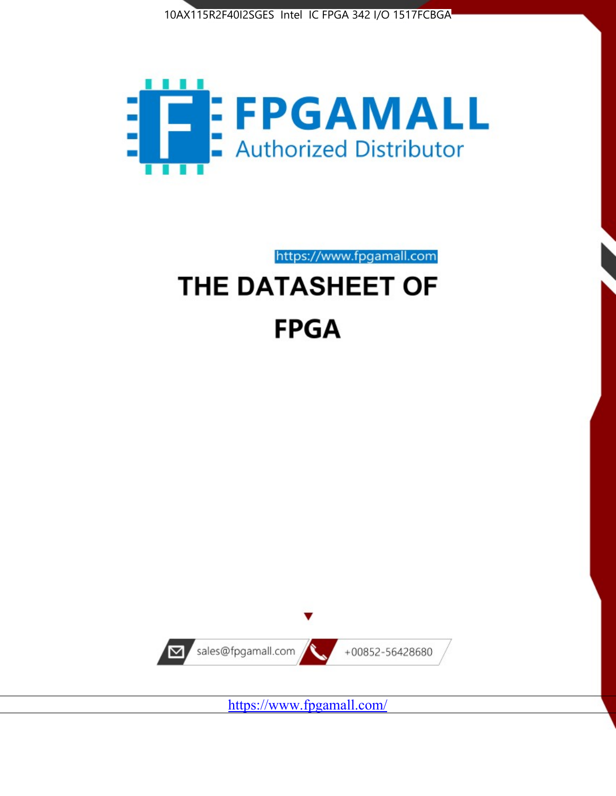



https://www.fpgamall.com

# THE DATASHEET OF **FPGA**



<https://www.fpgamall.com/>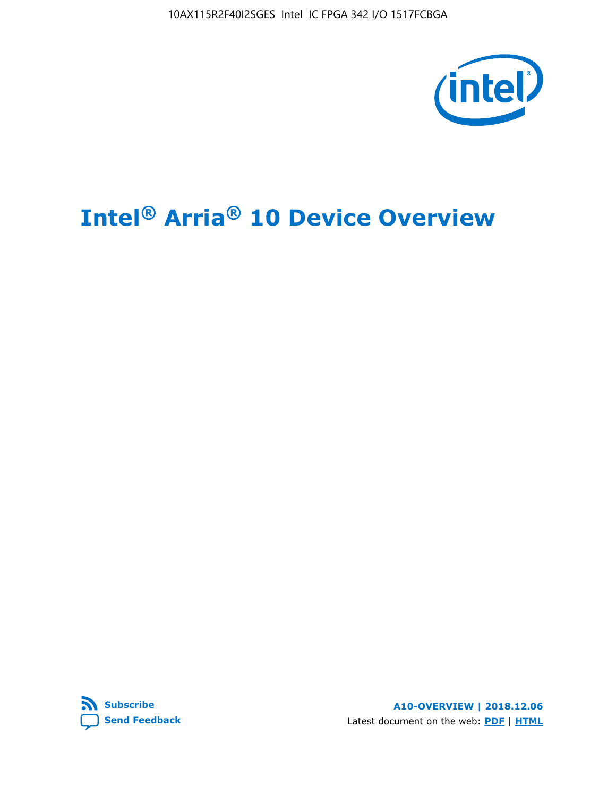10AX115R2F40I2SGES Intel IC FPGA 342 I/O 1517FCBGA



# **Intel® Arria® 10 Device Overview**



**A10-OVERVIEW | 2018.12.06** Latest document on the web: **[PDF](https://www.intel.com/content/dam/www/programmable/us/en/pdfs/literature/hb/arria-10/a10_overview.pdf)** | **[HTML](https://www.intel.com/content/www/us/en/programmable/documentation/sam1403480274650.html)**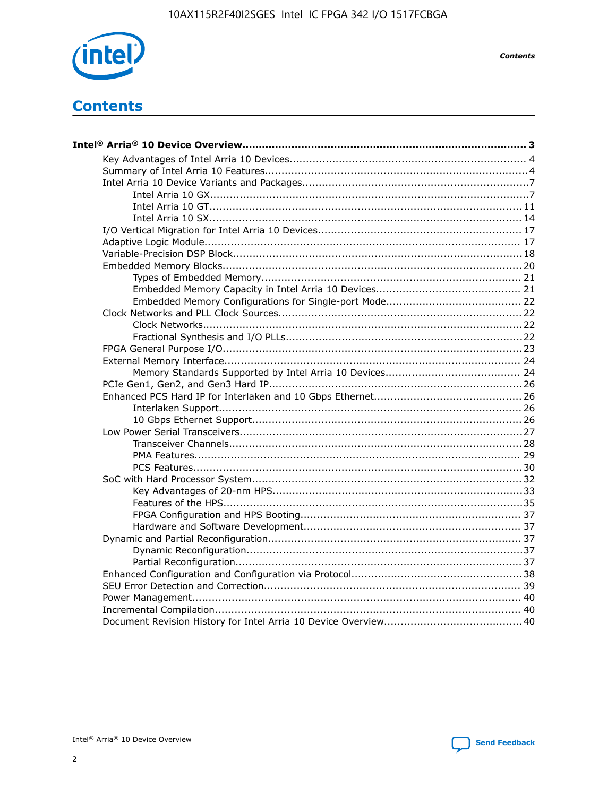

**Contents** 

# **Contents**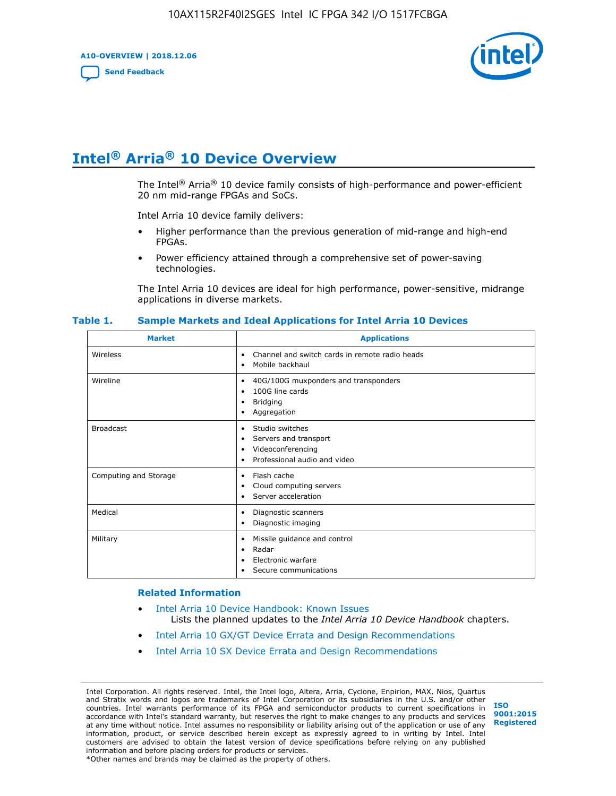**A10-OVERVIEW | 2018.12.06**

**[Send Feedback](mailto:FPGAtechdocfeedback@intel.com?subject=Feedback%20on%20Intel%20Arria%2010%20Device%20Overview%20(A10-OVERVIEW%202018.12.06)&body=We%20appreciate%20your%20feedback.%20In%20your%20comments,%20also%20specify%20the%20page%20number%20or%20paragraph.%20Thank%20you.)**



# **Intel® Arria® 10 Device Overview**

The Intel<sup>®</sup> Arria<sup>®</sup> 10 device family consists of high-performance and power-efficient 20 nm mid-range FPGAs and SoCs.

Intel Arria 10 device family delivers:

- Higher performance than the previous generation of mid-range and high-end FPGAs.
- Power efficiency attained through a comprehensive set of power-saving technologies.

The Intel Arria 10 devices are ideal for high performance, power-sensitive, midrange applications in diverse markets.

| <b>Market</b>         | <b>Applications</b>                                                                                               |
|-----------------------|-------------------------------------------------------------------------------------------------------------------|
| Wireless              | Channel and switch cards in remote radio heads<br>٠<br>Mobile backhaul<br>٠                                       |
| Wireline              | 40G/100G muxponders and transponders<br>٠<br>100G line cards<br>٠<br><b>Bridging</b><br>٠<br>Aggregation<br>٠     |
| <b>Broadcast</b>      | Studio switches<br>٠<br>Servers and transport<br>٠<br>Videoconferencing<br>٠<br>Professional audio and video<br>٠ |
| Computing and Storage | Flash cache<br>٠<br>Cloud computing servers<br>٠<br>Server acceleration<br>٠                                      |
| Medical               | Diagnostic scanners<br>٠<br>Diagnostic imaging<br>٠                                                               |
| Military              | Missile guidance and control<br>٠<br>Radar<br>٠<br>Electronic warfare<br>٠<br>Secure communications<br>٠          |

#### **Table 1. Sample Markets and Ideal Applications for Intel Arria 10 Devices**

#### **Related Information**

- [Intel Arria 10 Device Handbook: Known Issues](http://www.altera.com/support/kdb/solutions/rd07302013_646.html) Lists the planned updates to the *Intel Arria 10 Device Handbook* chapters.
- [Intel Arria 10 GX/GT Device Errata and Design Recommendations](https://www.intel.com/content/www/us/en/programmable/documentation/agz1493851706374.html#yqz1494433888646)
- [Intel Arria 10 SX Device Errata and Design Recommendations](https://www.intel.com/content/www/us/en/programmable/documentation/cru1462832385668.html#cru1462832558642)

Intel Corporation. All rights reserved. Intel, the Intel logo, Altera, Arria, Cyclone, Enpirion, MAX, Nios, Quartus and Stratix words and logos are trademarks of Intel Corporation or its subsidiaries in the U.S. and/or other countries. Intel warrants performance of its FPGA and semiconductor products to current specifications in accordance with Intel's standard warranty, but reserves the right to make changes to any products and services at any time without notice. Intel assumes no responsibility or liability arising out of the application or use of any information, product, or service described herein except as expressly agreed to in writing by Intel. Intel customers are advised to obtain the latest version of device specifications before relying on any published information and before placing orders for products or services. \*Other names and brands may be claimed as the property of others.

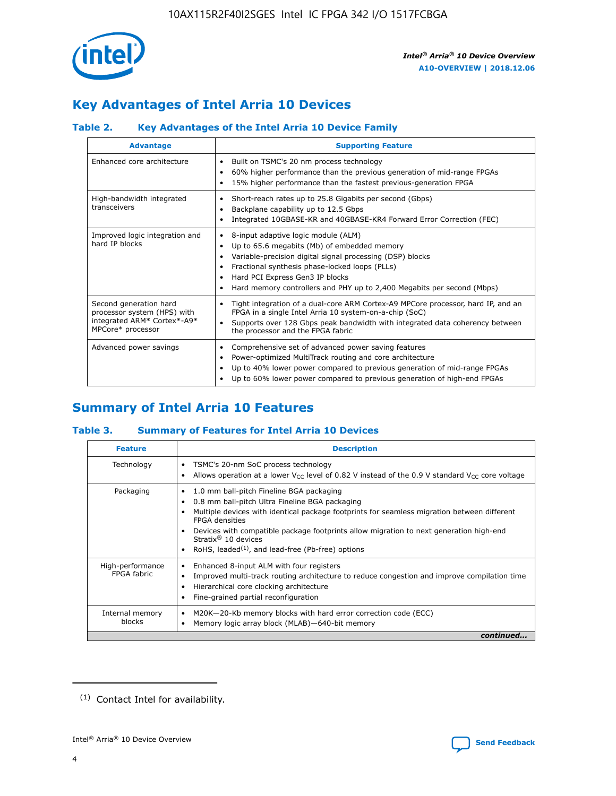

# **Key Advantages of Intel Arria 10 Devices**

## **Table 2. Key Advantages of the Intel Arria 10 Device Family**

| <b>Advantage</b>                                                                                          | <b>Supporting Feature</b>                                                                                                                                                                                                                                                                                                |  |  |  |  |  |
|-----------------------------------------------------------------------------------------------------------|--------------------------------------------------------------------------------------------------------------------------------------------------------------------------------------------------------------------------------------------------------------------------------------------------------------------------|--|--|--|--|--|
| Enhanced core architecture                                                                                | Built on TSMC's 20 nm process technology<br>٠<br>60% higher performance than the previous generation of mid-range FPGAs<br>٠<br>15% higher performance than the fastest previous-generation FPGA<br>٠                                                                                                                    |  |  |  |  |  |
| High-bandwidth integrated<br>transceivers                                                                 | Short-reach rates up to 25.8 Gigabits per second (Gbps)<br>٠<br>Backplane capability up to 12.5 Gbps<br>٠<br>Integrated 10GBASE-KR and 40GBASE-KR4 Forward Error Correction (FEC)<br>٠                                                                                                                                   |  |  |  |  |  |
| Improved logic integration and<br>hard IP blocks                                                          | 8-input adaptive logic module (ALM)<br>٠<br>Up to 65.6 megabits (Mb) of embedded memory<br>٠<br>Variable-precision digital signal processing (DSP) blocks<br>Fractional synthesis phase-locked loops (PLLs)<br>Hard PCI Express Gen3 IP blocks<br>Hard memory controllers and PHY up to 2,400 Megabits per second (Mbps) |  |  |  |  |  |
| Second generation hard<br>processor system (HPS) with<br>integrated ARM* Cortex*-A9*<br>MPCore* processor | Tight integration of a dual-core ARM Cortex-A9 MPCore processor, hard IP, and an<br>٠<br>FPGA in a single Intel Arria 10 system-on-a-chip (SoC)<br>Supports over 128 Gbps peak bandwidth with integrated data coherency between<br>$\bullet$<br>the processor and the FPGA fabric                                        |  |  |  |  |  |
| Advanced power savings                                                                                    | Comprehensive set of advanced power saving features<br>٠<br>Power-optimized MultiTrack routing and core architecture<br>٠<br>Up to 40% lower power compared to previous generation of mid-range FPGAs<br>٠<br>Up to 60% lower power compared to previous generation of high-end FPGAs                                    |  |  |  |  |  |

# **Summary of Intel Arria 10 Features**

## **Table 3. Summary of Features for Intel Arria 10 Devices**

| <b>Feature</b>                  | <b>Description</b>                                                                                                                                                                                                                                                                                                                                                                                           |
|---------------------------------|--------------------------------------------------------------------------------------------------------------------------------------------------------------------------------------------------------------------------------------------------------------------------------------------------------------------------------------------------------------------------------------------------------------|
| Technology                      | TSMC's 20-nm SoC process technology<br>Allows operation at a lower $V_{\text{CC}}$ level of 0.82 V instead of the 0.9 V standard $V_{\text{CC}}$ core voltage                                                                                                                                                                                                                                                |
| Packaging                       | 1.0 mm ball-pitch Fineline BGA packaging<br>٠<br>0.8 mm ball-pitch Ultra Fineline BGA packaging<br>Multiple devices with identical package footprints for seamless migration between different<br><b>FPGA</b> densities<br>Devices with compatible package footprints allow migration to next generation high-end<br>Stratix <sup>®</sup> 10 devices<br>RoHS, leaded $(1)$ , and lead-free (Pb-free) options |
| High-performance<br>FPGA fabric | Enhanced 8-input ALM with four registers<br>Improved multi-track routing architecture to reduce congestion and improve compilation time<br>Hierarchical core clocking architecture<br>Fine-grained partial reconfiguration                                                                                                                                                                                   |
| Internal memory<br>blocks       | M20K-20-Kb memory blocks with hard error correction code (ECC)<br>Memory logic array block (MLAB)-640-bit memory                                                                                                                                                                                                                                                                                             |
|                                 | continued                                                                                                                                                                                                                                                                                                                                                                                                    |



<sup>(1)</sup> Contact Intel for availability.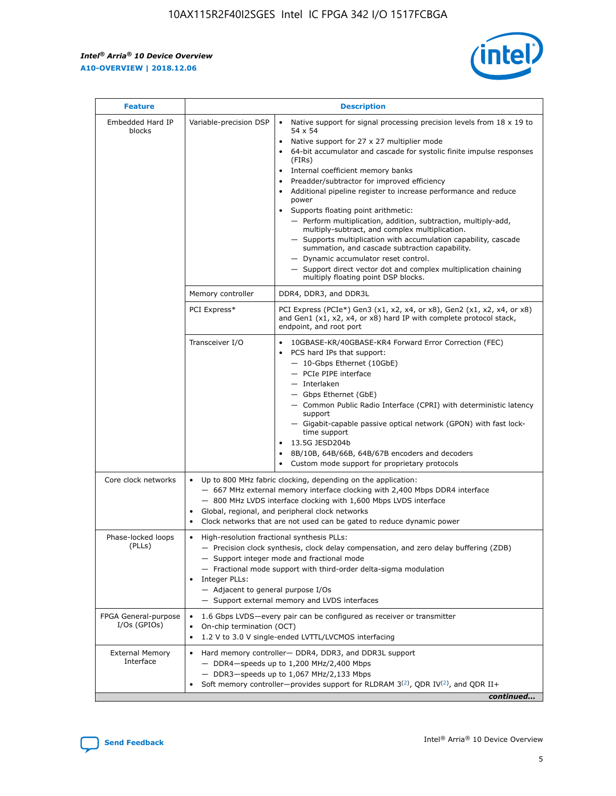r



| <b>Feature</b>                         |                                                                                                                | <b>Description</b>                                                                                                                                                                                                                                                                                                                                                                                                                                                                                                                                                                                                                                                                                                                                                                                                                     |
|----------------------------------------|----------------------------------------------------------------------------------------------------------------|----------------------------------------------------------------------------------------------------------------------------------------------------------------------------------------------------------------------------------------------------------------------------------------------------------------------------------------------------------------------------------------------------------------------------------------------------------------------------------------------------------------------------------------------------------------------------------------------------------------------------------------------------------------------------------------------------------------------------------------------------------------------------------------------------------------------------------------|
| Embedded Hard IP<br>blocks             | Variable-precision DSP                                                                                         | Native support for signal processing precision levels from $18 \times 19$ to<br>54 x 54<br>Native support for 27 x 27 multiplier mode<br>64-bit accumulator and cascade for systolic finite impulse responses<br>(FIRs)<br>Internal coefficient memory banks<br>$\bullet$<br>Preadder/subtractor for improved efficiency<br>Additional pipeline register to increase performance and reduce<br>power<br>Supports floating point arithmetic:<br>- Perform multiplication, addition, subtraction, multiply-add,<br>multiply-subtract, and complex multiplication.<br>- Supports multiplication with accumulation capability, cascade<br>summation, and cascade subtraction capability.<br>- Dynamic accumulator reset control.<br>- Support direct vector dot and complex multiplication chaining<br>multiply floating point DSP blocks. |
|                                        | Memory controller                                                                                              | DDR4, DDR3, and DDR3L                                                                                                                                                                                                                                                                                                                                                                                                                                                                                                                                                                                                                                                                                                                                                                                                                  |
|                                        | PCI Express*                                                                                                   | PCI Express (PCIe*) Gen3 (x1, x2, x4, or x8), Gen2 (x1, x2, x4, or x8)<br>and Gen1 (x1, x2, x4, or x8) hard IP with complete protocol stack,<br>endpoint, and root port                                                                                                                                                                                                                                                                                                                                                                                                                                                                                                                                                                                                                                                                |
|                                        | Transceiver I/O                                                                                                | 10GBASE-KR/40GBASE-KR4 Forward Error Correction (FEC)<br>PCS hard IPs that support:<br>$\bullet$<br>- 10-Gbps Ethernet (10GbE)<br>- PCIe PIPE interface<br>$-$ Interlaken<br>- Gbps Ethernet (GbE)<br>- Common Public Radio Interface (CPRI) with deterministic latency<br>support<br>- Gigabit-capable passive optical network (GPON) with fast lock-<br>time support<br>13.5G JESD204b<br>$\bullet$<br>8B/10B, 64B/66B, 64B/67B encoders and decoders<br>Custom mode support for proprietary protocols                                                                                                                                                                                                                                                                                                                               |
| Core clock networks                    | $\bullet$<br>$\bullet$                                                                                         | Up to 800 MHz fabric clocking, depending on the application:<br>- 667 MHz external memory interface clocking with 2,400 Mbps DDR4 interface<br>- 800 MHz LVDS interface clocking with 1,600 Mbps LVDS interface<br>Global, regional, and peripheral clock networks<br>Clock networks that are not used can be gated to reduce dynamic power                                                                                                                                                                                                                                                                                                                                                                                                                                                                                            |
| Phase-locked loops<br>(PLLs)           | High-resolution fractional synthesis PLLs:<br>$\bullet$<br>Integer PLLs:<br>- Adjacent to general purpose I/Os | - Precision clock synthesis, clock delay compensation, and zero delay buffering (ZDB)<br>- Support integer mode and fractional mode<br>- Fractional mode support with third-order delta-sigma modulation<br>- Support external memory and LVDS interfaces                                                                                                                                                                                                                                                                                                                                                                                                                                                                                                                                                                              |
| FPGA General-purpose<br>$I/Os$ (GPIOs) | On-chip termination (OCT)                                                                                      | 1.6 Gbps LVDS-every pair can be configured as receiver or transmitter<br>1.2 V to 3.0 V single-ended LVTTL/LVCMOS interfacing                                                                                                                                                                                                                                                                                                                                                                                                                                                                                                                                                                                                                                                                                                          |
| <b>External Memory</b><br>Interface    |                                                                                                                | Hard memory controller- DDR4, DDR3, and DDR3L support<br>$-$ DDR4-speeds up to 1,200 MHz/2,400 Mbps<br>- DDR3-speeds up to 1,067 MHz/2,133 Mbps<br>Soft memory controller—provides support for RLDRAM $3^{(2)}$ , QDR IV $^{(2)}$ , and QDR II+<br>continued                                                                                                                                                                                                                                                                                                                                                                                                                                                                                                                                                                           |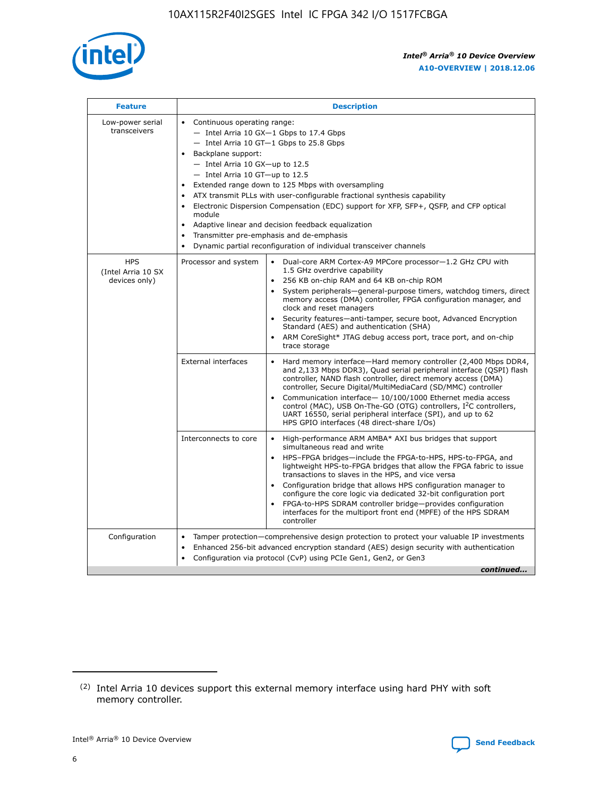

| <b>Feature</b>                                    | <b>Description</b>                                                                                                                                                                                                                                                                                                                                                                                                                                                                                                                                                                                                                         |
|---------------------------------------------------|--------------------------------------------------------------------------------------------------------------------------------------------------------------------------------------------------------------------------------------------------------------------------------------------------------------------------------------------------------------------------------------------------------------------------------------------------------------------------------------------------------------------------------------------------------------------------------------------------------------------------------------------|
| Low-power serial<br>transceivers                  | • Continuous operating range:<br>- Intel Arria 10 GX-1 Gbps to 17.4 Gbps<br>- Intel Arria 10 GT-1 Gbps to 25.8 Gbps<br>Backplane support:<br>$-$ Intel Arria 10 GX-up to 12.5<br>- Intel Arria 10 GT-up to 12.5<br>Extended range down to 125 Mbps with oversampling<br>ATX transmit PLLs with user-configurable fractional synthesis capability<br>Electronic Dispersion Compensation (EDC) support for XFP, SFP+, QSFP, and CFP optical<br>module<br>• Adaptive linear and decision feedback equalization<br>Transmitter pre-emphasis and de-emphasis<br>$\bullet$<br>Dynamic partial reconfiguration of individual transceiver channels |
| <b>HPS</b><br>(Intel Arria 10 SX<br>devices only) | Dual-core ARM Cortex-A9 MPCore processor-1.2 GHz CPU with<br>Processor and system<br>$\bullet$<br>1.5 GHz overdrive capability<br>256 KB on-chip RAM and 64 KB on-chip ROM<br>System peripherals-general-purpose timers, watchdog timers, direct<br>memory access (DMA) controller, FPGA configuration manager, and<br>clock and reset managers<br>Security features-anti-tamper, secure boot, Advanced Encryption<br>$\bullet$<br>Standard (AES) and authentication (SHA)<br>ARM CoreSight* JTAG debug access port, trace port, and on-chip<br>trace storage                                                                              |
|                                                   | <b>External interfaces</b><br>Hard memory interface-Hard memory controller (2,400 Mbps DDR4,<br>$\bullet$<br>and 2,133 Mbps DDR3), Quad serial peripheral interface (QSPI) flash<br>controller, NAND flash controller, direct memory access (DMA)<br>controller, Secure Digital/MultiMediaCard (SD/MMC) controller<br>Communication interface-10/100/1000 Ethernet media access<br>$\bullet$<br>control (MAC), USB On-The-GO (OTG) controllers, I <sup>2</sup> C controllers,<br>UART 16550, serial peripheral interface (SPI), and up to 62<br>HPS GPIO interfaces (48 direct-share I/Os)                                                 |
|                                                   | High-performance ARM AMBA* AXI bus bridges that support<br>Interconnects to core<br>$\bullet$<br>simultaneous read and write<br>HPS-FPGA bridges-include the FPGA-to-HPS, HPS-to-FPGA, and<br>$\bullet$<br>lightweight HPS-to-FPGA bridges that allow the FPGA fabric to issue<br>transactions to slaves in the HPS, and vice versa<br>Configuration bridge that allows HPS configuration manager to<br>configure the core logic via dedicated 32-bit configuration port<br>FPGA-to-HPS SDRAM controller bridge-provides configuration<br>interfaces for the multiport front end (MPFE) of the HPS SDRAM<br>controller                     |
| Configuration                                     | Tamper protection—comprehensive design protection to protect your valuable IP investments<br>Enhanced 256-bit advanced encryption standard (AES) design security with authentication<br>٠<br>Configuration via protocol (CvP) using PCIe Gen1, Gen2, or Gen3<br>continued                                                                                                                                                                                                                                                                                                                                                                  |

<sup>(2)</sup> Intel Arria 10 devices support this external memory interface using hard PHY with soft memory controller.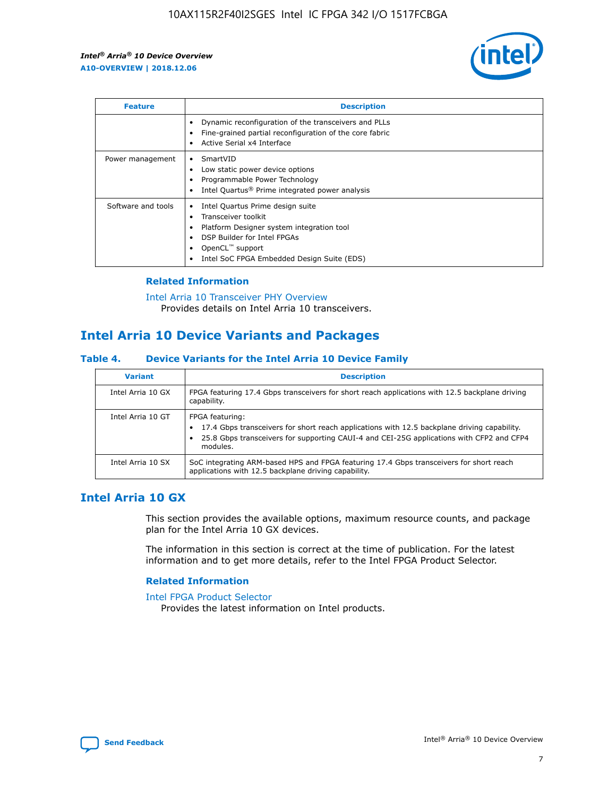

| <b>Feature</b>     | <b>Description</b>                                                                                                                                                                                               |
|--------------------|------------------------------------------------------------------------------------------------------------------------------------------------------------------------------------------------------------------|
|                    | Dynamic reconfiguration of the transceivers and PLLs<br>Fine-grained partial reconfiguration of the core fabric<br>Active Serial x4 Interface<br>$\bullet$                                                       |
| Power management   | SmartVID<br>Low static power device options<br>Programmable Power Technology<br>Intel Quartus <sup>®</sup> Prime integrated power analysis                                                                       |
| Software and tools | Intel Quartus Prime design suite<br>Transceiver toolkit<br>Platform Designer system integration tool<br>DSP Builder for Intel FPGAs<br>OpenCL <sup>™</sup> support<br>Intel SoC FPGA Embedded Design Suite (EDS) |

## **Related Information**

[Intel Arria 10 Transceiver PHY Overview](https://www.intel.com/content/www/us/en/programmable/documentation/nik1398707230472.html#nik1398706768037) Provides details on Intel Arria 10 transceivers.

# **Intel Arria 10 Device Variants and Packages**

#### **Table 4. Device Variants for the Intel Arria 10 Device Family**

| <b>Variant</b>    | <b>Description</b>                                                                                                                                                                                                     |
|-------------------|------------------------------------------------------------------------------------------------------------------------------------------------------------------------------------------------------------------------|
| Intel Arria 10 GX | FPGA featuring 17.4 Gbps transceivers for short reach applications with 12.5 backplane driving<br>capability.                                                                                                          |
| Intel Arria 10 GT | FPGA featuring:<br>17.4 Gbps transceivers for short reach applications with 12.5 backplane driving capability.<br>25.8 Gbps transceivers for supporting CAUI-4 and CEI-25G applications with CFP2 and CFP4<br>modules. |
| Intel Arria 10 SX | SoC integrating ARM-based HPS and FPGA featuring 17.4 Gbps transceivers for short reach<br>applications with 12.5 backplane driving capability.                                                                        |

## **Intel Arria 10 GX**

This section provides the available options, maximum resource counts, and package plan for the Intel Arria 10 GX devices.

The information in this section is correct at the time of publication. For the latest information and to get more details, refer to the Intel FPGA Product Selector.

#### **Related Information**

#### [Intel FPGA Product Selector](http://www.altera.com/products/selector/psg-selector.html) Provides the latest information on Intel products.

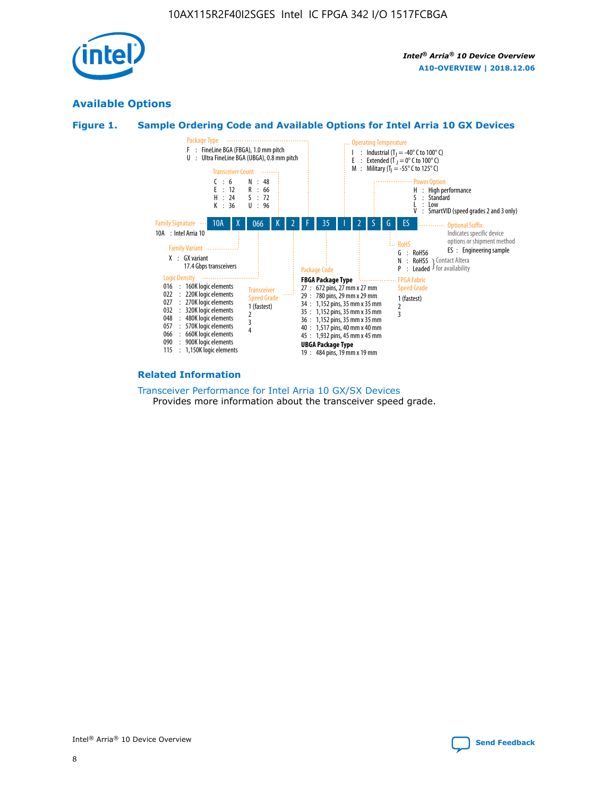

## **Available Options**





#### **Related Information**

[Transceiver Performance for Intel Arria 10 GX/SX Devices](https://www.intel.com/content/www/us/en/programmable/documentation/mcn1413182292568.html#mcn1413213965502) Provides more information about the transceiver speed grade.

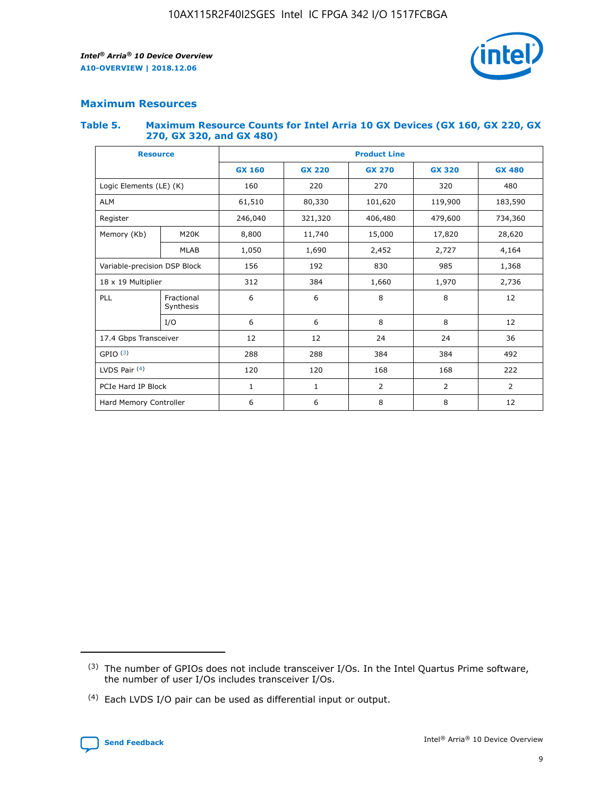

## **Maximum Resources**

#### **Table 5. Maximum Resource Counts for Intel Arria 10 GX Devices (GX 160, GX 220, GX 270, GX 320, and GX 480)**

| <b>Resource</b>         |                              | <b>Product Line</b> |               |                |                |                |  |  |  |
|-------------------------|------------------------------|---------------------|---------------|----------------|----------------|----------------|--|--|--|
|                         |                              | <b>GX 160</b>       | <b>GX 220</b> | <b>GX 270</b>  | <b>GX 320</b>  | <b>GX 480</b>  |  |  |  |
| Logic Elements (LE) (K) |                              | 160                 | 220           | 270            | 320            | 480            |  |  |  |
| <b>ALM</b>              |                              | 61,510              | 80,330        | 101,620        | 119,900        | 183,590        |  |  |  |
| Register                |                              | 246,040             | 321,320       | 406,480        | 479,600        | 734,360        |  |  |  |
| Memory (Kb)             | M <sub>20</sub> K            | 8,800               | 11,740        | 15,000         | 17,820         | 28,620         |  |  |  |
|                         | <b>MLAB</b>                  | 1,050               | 1,690         | 2,452          | 2,727          | 4,164          |  |  |  |
|                         | Variable-precision DSP Block |                     | 192           | 830<br>985     |                | 1,368          |  |  |  |
| 18 x 19 Multiplier      |                              | 312                 | 384           | 1,970<br>1,660 |                | 2,736          |  |  |  |
| PLL                     | Fractional<br>Synthesis      | 6                   | 6             | 8              | 8              | 12             |  |  |  |
|                         | I/O                          | 6                   | 6             | 8              | 8              | 12             |  |  |  |
| 17.4 Gbps Transceiver   |                              | 12                  | 12            | 24             | 24             | 36             |  |  |  |
| GPIO <sup>(3)</sup>     |                              | 288                 | 288           | 384<br>384     |                | 492            |  |  |  |
| LVDS Pair $(4)$         |                              | 120                 | 120           | 168            | 168            | 222            |  |  |  |
| PCIe Hard IP Block      |                              | 1                   | 1             | 2              | $\overline{2}$ | $\overline{2}$ |  |  |  |
| Hard Memory Controller  |                              | 6                   | 6             | 8              | 8              | 12             |  |  |  |

<sup>(4)</sup> Each LVDS I/O pair can be used as differential input or output.



<sup>(3)</sup> The number of GPIOs does not include transceiver I/Os. In the Intel Quartus Prime software, the number of user I/Os includes transceiver I/Os.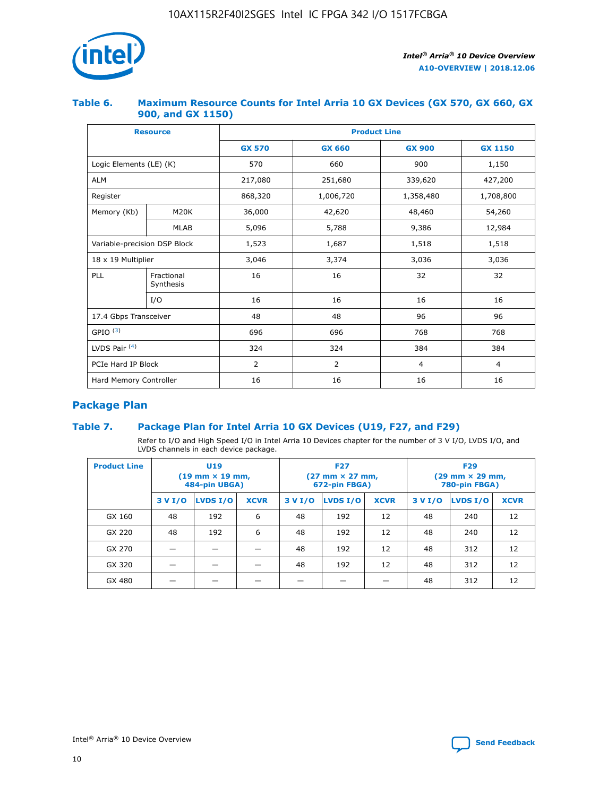

## **Table 6. Maximum Resource Counts for Intel Arria 10 GX Devices (GX 570, GX 660, GX 900, and GX 1150)**

|                              | <b>Resource</b>         | <b>Product Line</b> |                |                |                |  |  |  |
|------------------------------|-------------------------|---------------------|----------------|----------------|----------------|--|--|--|
|                              |                         | <b>GX 570</b>       | <b>GX 660</b>  | <b>GX 900</b>  | <b>GX 1150</b> |  |  |  |
| Logic Elements (LE) (K)      |                         | 570                 | 660            | 900            | 1,150          |  |  |  |
| <b>ALM</b>                   |                         | 217,080             | 251,680        | 339,620        | 427,200        |  |  |  |
| Register                     |                         | 868,320             | 1,006,720      | 1,358,480      | 1,708,800      |  |  |  |
| Memory (Kb)                  | <b>M20K</b>             | 36,000              | 42,620         | 48,460         | 54,260         |  |  |  |
|                              | <b>MLAB</b>             | 5,096               | 5,788          | 9,386          | 12,984         |  |  |  |
| Variable-precision DSP Block |                         | 1,523               | 1,687          | 1,518          | 1,518          |  |  |  |
| $18 \times 19$ Multiplier    |                         | 3,046               | 3,374          | 3,036          | 3,036          |  |  |  |
| PLL                          | Fractional<br>Synthesis | 16                  | 16             | 32             | 32             |  |  |  |
|                              | I/O                     | 16                  | 16             | 16             | 16             |  |  |  |
| 17.4 Gbps Transceiver        |                         | 48                  | 48             | 96             | 96             |  |  |  |
| GPIO <sup>(3)</sup>          |                         | 696                 | 696            | 768            | 768            |  |  |  |
| LVDS Pair $(4)$              |                         | 324                 | 324<br>384     |                | 384            |  |  |  |
| PCIe Hard IP Block           |                         | 2                   | $\overline{2}$ | $\overline{4}$ | 4              |  |  |  |
| Hard Memory Controller       |                         | 16                  | 16             | 16             | 16             |  |  |  |

## **Package Plan**

## **Table 7. Package Plan for Intel Arria 10 GX Devices (U19, F27, and F29)**

Refer to I/O and High Speed I/O in Intel Arria 10 Devices chapter for the number of 3 V I/O, LVDS I/O, and LVDS channels in each device package.

| <b>Product Line</b> | U <sub>19</sub><br>$(19 \text{ mm} \times 19 \text{ mm})$<br>484-pin UBGA) |          |             |         | <b>F27</b><br>(27 mm × 27 mm,<br>672-pin FBGA) |             | <b>F29</b><br>(29 mm × 29 mm,<br>780-pin FBGA) |          |             |  |
|---------------------|----------------------------------------------------------------------------|----------|-------------|---------|------------------------------------------------|-------------|------------------------------------------------|----------|-------------|--|
|                     | 3 V I/O                                                                    | LVDS I/O | <b>XCVR</b> | 3 V I/O | <b>LVDS I/O</b>                                | <b>XCVR</b> | 3 V I/O                                        | LVDS I/O | <b>XCVR</b> |  |
| GX 160              | 48                                                                         | 192      | 6           | 48      | 192                                            | 12          | 48                                             | 240      | 12          |  |
| GX 220              | 48                                                                         | 192      | 6           | 48      | 192                                            | 12          | 48                                             | 240      | 12          |  |
| GX 270              |                                                                            |          |             | 48      | 192                                            | 12          | 48                                             | 312      | 12          |  |
| GX 320              |                                                                            |          |             | 48      | 192                                            | 12          | 48                                             | 312      | 12          |  |
| GX 480              |                                                                            |          |             |         |                                                |             | 48                                             | 312      | 12          |  |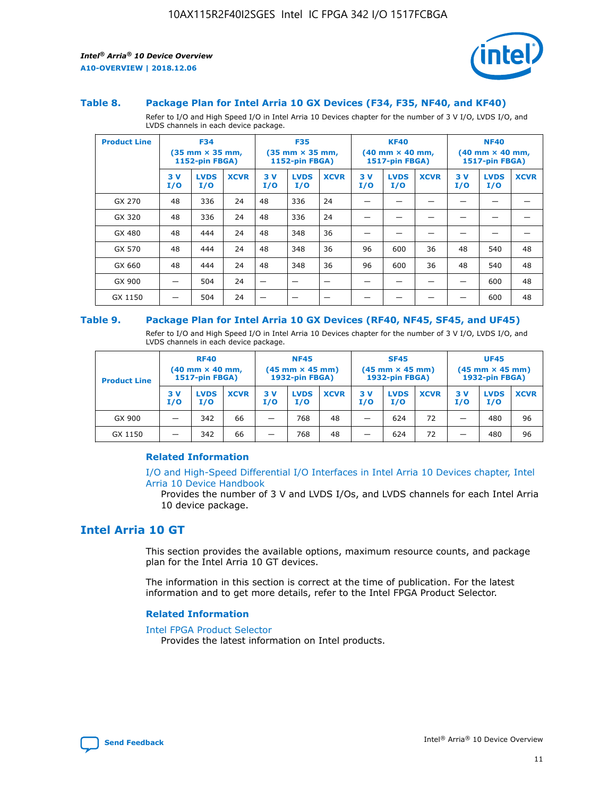

#### **Table 8. Package Plan for Intel Arria 10 GX Devices (F34, F35, NF40, and KF40)**

Refer to I/O and High Speed I/O in Intel Arria 10 Devices chapter for the number of 3 V I/O, LVDS I/O, and LVDS channels in each device package.

| <b>Product Line</b> | <b>F34</b><br>$(35 \text{ mm} \times 35 \text{ mm})$<br><b>1152-pin FBGA)</b> |                    | <b>F35</b><br>$(35 \text{ mm} \times 35 \text{ mm})$<br><b>1152-pin FBGA)</b> |           | <b>KF40</b><br>$(40$ mm $\times$ 40 mm,<br>1517-pin FBGA) |             |           | <b>NF40</b><br>$(40 \text{ mm} \times 40 \text{ mm})$<br>1517-pin FBGA) |             |           |                    |             |
|---------------------|-------------------------------------------------------------------------------|--------------------|-------------------------------------------------------------------------------|-----------|-----------------------------------------------------------|-------------|-----------|-------------------------------------------------------------------------|-------------|-----------|--------------------|-------------|
|                     | 3V<br>I/O                                                                     | <b>LVDS</b><br>I/O | <b>XCVR</b>                                                                   | 3V<br>I/O | <b>LVDS</b><br>I/O                                        | <b>XCVR</b> | 3V<br>I/O | <b>LVDS</b><br>I/O                                                      | <b>XCVR</b> | 3V<br>I/O | <b>LVDS</b><br>I/O | <b>XCVR</b> |
| GX 270              | 48                                                                            | 336                | 24                                                                            | 48        | 336                                                       | 24          |           |                                                                         |             |           |                    |             |
| GX 320              | 48                                                                            | 336                | 24                                                                            | 48        | 336                                                       | 24          |           |                                                                         |             |           |                    |             |
| GX 480              | 48                                                                            | 444                | 24                                                                            | 48        | 348                                                       | 36          |           |                                                                         |             |           |                    |             |
| GX 570              | 48                                                                            | 444                | 24                                                                            | 48        | 348                                                       | 36          | 96        | 600                                                                     | 36          | 48        | 540                | 48          |
| GX 660              | 48                                                                            | 444                | 24                                                                            | 48        | 348                                                       | 36          | 96        | 600                                                                     | 36          | 48        | 540                | 48          |
| GX 900              |                                                                               | 504                | 24                                                                            | –         |                                                           | -           |           |                                                                         |             |           | 600                | 48          |
| GX 1150             |                                                                               | 504                | 24                                                                            |           |                                                           |             |           |                                                                         |             |           | 600                | 48          |

#### **Table 9. Package Plan for Intel Arria 10 GX Devices (RF40, NF45, SF45, and UF45)**

Refer to I/O and High Speed I/O in Intel Arria 10 Devices chapter for the number of 3 V I/O, LVDS I/O, and LVDS channels in each device package.

| <b>Product Line</b> | <b>RF40</b><br>$(40$ mm $\times$ 40 mm,<br>1517-pin FBGA) |                    | <b>NF45</b><br>$(45 \text{ mm} \times 45 \text{ mm})$<br><b>1932-pin FBGA)</b> |            |                    | <b>SF45</b><br>$(45 \text{ mm} \times 45 \text{ mm})$<br><b>1932-pin FBGA)</b> |            |                    | <b>UF45</b><br>$(45 \text{ mm} \times 45 \text{ mm})$<br><b>1932-pin FBGA)</b> |           |                    |             |
|---------------------|-----------------------------------------------------------|--------------------|--------------------------------------------------------------------------------|------------|--------------------|--------------------------------------------------------------------------------|------------|--------------------|--------------------------------------------------------------------------------|-----------|--------------------|-------------|
|                     | 3V<br>I/O                                                 | <b>LVDS</b><br>I/O | <b>XCVR</b>                                                                    | 3 V<br>I/O | <b>LVDS</b><br>I/O | <b>XCVR</b>                                                                    | 3 V<br>I/O | <b>LVDS</b><br>I/O | <b>XCVR</b>                                                                    | 3V<br>I/O | <b>LVDS</b><br>I/O | <b>XCVR</b> |
| GX 900              |                                                           | 342                | 66                                                                             | _          | 768                | 48                                                                             |            | 624                | 72                                                                             |           | 480                | 96          |
| GX 1150             |                                                           | 342                | 66                                                                             | _          | 768                | 48                                                                             |            | 624                | 72                                                                             |           | 480                | 96          |

## **Related Information**

[I/O and High-Speed Differential I/O Interfaces in Intel Arria 10 Devices chapter, Intel](https://www.intel.com/content/www/us/en/programmable/documentation/sam1403482614086.html#sam1403482030321) [Arria 10 Device Handbook](https://www.intel.com/content/www/us/en/programmable/documentation/sam1403482614086.html#sam1403482030321)

Provides the number of 3 V and LVDS I/Os, and LVDS channels for each Intel Arria 10 device package.

## **Intel Arria 10 GT**

This section provides the available options, maximum resource counts, and package plan for the Intel Arria 10 GT devices.

The information in this section is correct at the time of publication. For the latest information and to get more details, refer to the Intel FPGA Product Selector.

#### **Related Information**

#### [Intel FPGA Product Selector](http://www.altera.com/products/selector/psg-selector.html)

Provides the latest information on Intel products.

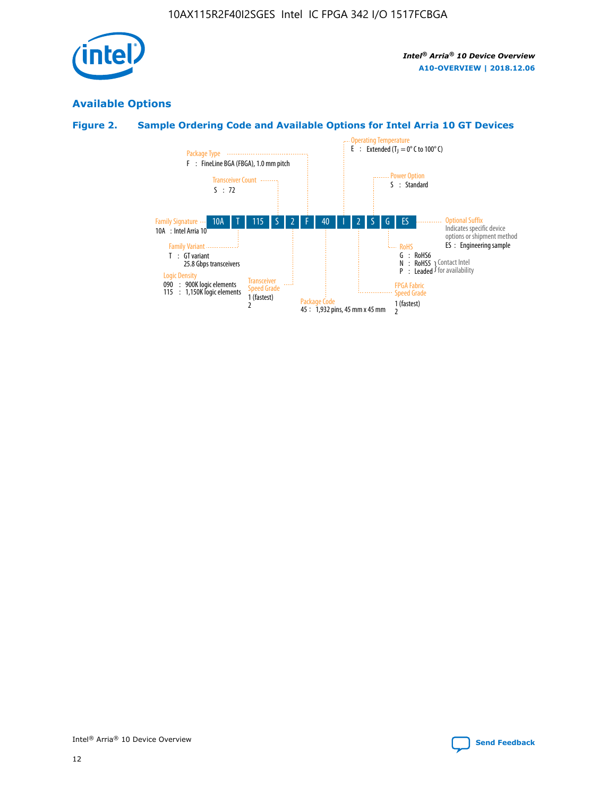

## **Available Options**

## **Figure 2. Sample Ordering Code and Available Options for Intel Arria 10 GT Devices**

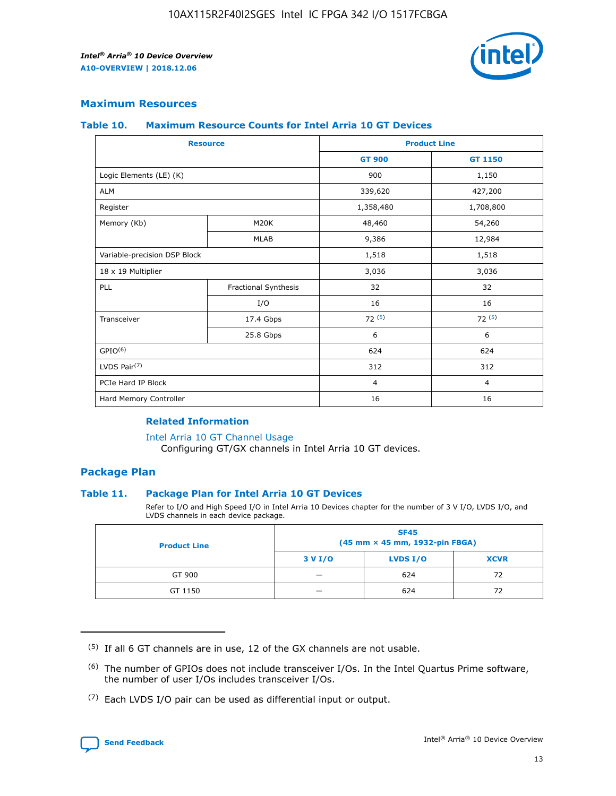

## **Maximum Resources**

#### **Table 10. Maximum Resource Counts for Intel Arria 10 GT Devices**

| <b>Resource</b>              |                      |                | <b>Product Line</b> |  |
|------------------------------|----------------------|----------------|---------------------|--|
|                              |                      | <b>GT 900</b>  | <b>GT 1150</b>      |  |
| Logic Elements (LE) (K)      |                      | 900            | 1,150               |  |
| <b>ALM</b>                   |                      | 339,620        | 427,200             |  |
| Register                     |                      | 1,358,480      | 1,708,800           |  |
| Memory (Kb)                  | M20K                 | 48,460         | 54,260              |  |
|                              | <b>MLAB</b>          | 9,386          | 12,984              |  |
| Variable-precision DSP Block |                      | 1,518          | 1,518               |  |
| 18 x 19 Multiplier           |                      | 3,036          | 3,036               |  |
| PLL                          | Fractional Synthesis | 32             | 32                  |  |
|                              | I/O                  | 16             | 16                  |  |
| Transceiver                  | 17.4 Gbps            | 72(5)          | 72(5)               |  |
|                              | 25.8 Gbps            | 6              | 6                   |  |
| GPIO <sup>(6)</sup>          |                      | 624            | 624                 |  |
| LVDS Pair $(7)$              |                      | 312            | 312                 |  |
| PCIe Hard IP Block           |                      | $\overline{4}$ | $\overline{4}$      |  |
| Hard Memory Controller       |                      | 16             | 16                  |  |

## **Related Information**

#### [Intel Arria 10 GT Channel Usage](https://www.intel.com/content/www/us/en/programmable/documentation/nik1398707230472.html#nik1398707008178)

Configuring GT/GX channels in Intel Arria 10 GT devices.

## **Package Plan**

## **Table 11. Package Plan for Intel Arria 10 GT Devices**

Refer to I/O and High Speed I/O in Intel Arria 10 Devices chapter for the number of 3 V I/O, LVDS I/O, and LVDS channels in each device package.

| <b>Product Line</b> | <b>SF45</b><br>(45 mm × 45 mm, 1932-pin FBGA) |                 |             |  |  |  |
|---------------------|-----------------------------------------------|-----------------|-------------|--|--|--|
|                     | 3 V I/O                                       | <b>LVDS I/O</b> | <b>XCVR</b> |  |  |  |
| GT 900              |                                               | 624             | 72          |  |  |  |
| GT 1150             |                                               | 624             | 72          |  |  |  |

<sup>(7)</sup> Each LVDS I/O pair can be used as differential input or output.



 $(5)$  If all 6 GT channels are in use, 12 of the GX channels are not usable.

<sup>(6)</sup> The number of GPIOs does not include transceiver I/Os. In the Intel Quartus Prime software, the number of user I/Os includes transceiver I/Os.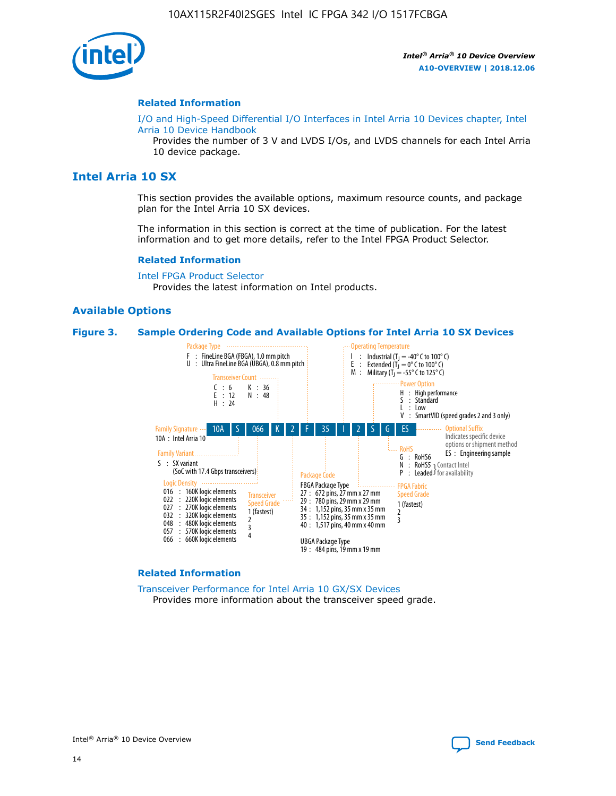

#### **Related Information**

[I/O and High-Speed Differential I/O Interfaces in Intel Arria 10 Devices chapter, Intel](https://www.intel.com/content/www/us/en/programmable/documentation/sam1403482614086.html#sam1403482030321) [Arria 10 Device Handbook](https://www.intel.com/content/www/us/en/programmable/documentation/sam1403482614086.html#sam1403482030321)

Provides the number of 3 V and LVDS I/Os, and LVDS channels for each Intel Arria 10 device package.

## **Intel Arria 10 SX**

This section provides the available options, maximum resource counts, and package plan for the Intel Arria 10 SX devices.

The information in this section is correct at the time of publication. For the latest information and to get more details, refer to the Intel FPGA Product Selector.

#### **Related Information**

[Intel FPGA Product Selector](http://www.altera.com/products/selector/psg-selector.html) Provides the latest information on Intel products.

#### **Available Options**

#### **Figure 3. Sample Ordering Code and Available Options for Intel Arria 10 SX Devices**



#### **Related Information**

[Transceiver Performance for Intel Arria 10 GX/SX Devices](https://www.intel.com/content/www/us/en/programmable/documentation/mcn1413182292568.html#mcn1413213965502) Provides more information about the transceiver speed grade.

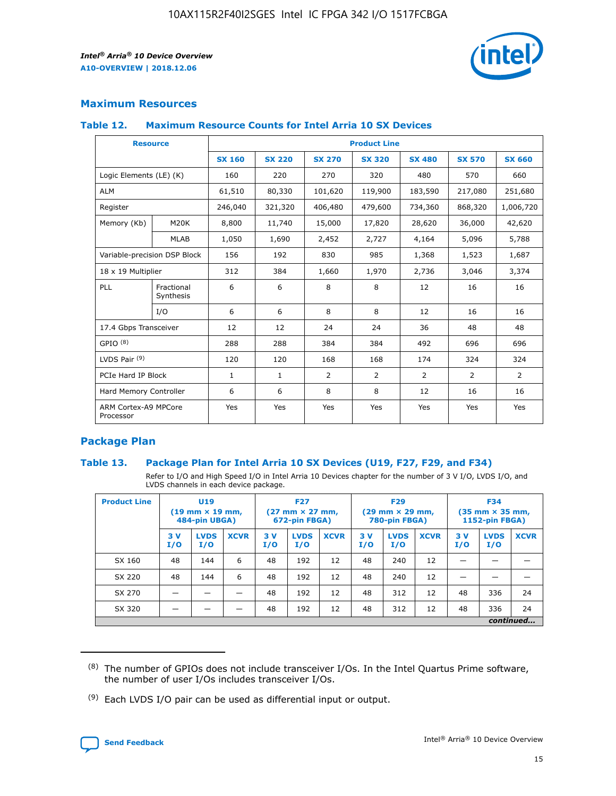

## **Maximum Resources**

## **Table 12. Maximum Resource Counts for Intel Arria 10 SX Devices**

| <b>Resource</b>                   |                         | <b>Product Line</b> |               |                |                |                |                |                |  |  |  |
|-----------------------------------|-------------------------|---------------------|---------------|----------------|----------------|----------------|----------------|----------------|--|--|--|
|                                   |                         | <b>SX 160</b>       | <b>SX 220</b> | <b>SX 270</b>  | <b>SX 320</b>  | <b>SX 480</b>  | <b>SX 570</b>  | <b>SX 660</b>  |  |  |  |
| Logic Elements (LE) (K)           |                         | 160                 | 220           | 270            | 320            | 480            | 570            | 660            |  |  |  |
| <b>ALM</b>                        |                         | 61,510              | 80,330        | 101,620        | 119,900        | 183,590        | 217,080        | 251,680        |  |  |  |
| Register                          |                         | 246,040             | 321,320       | 406,480        | 479,600        | 734,360        | 868,320        | 1,006,720      |  |  |  |
| Memory (Kb)                       | <b>M20K</b>             | 8,800               | 11,740        | 15,000         | 17,820         | 28,620         | 36,000         | 42,620         |  |  |  |
|                                   | <b>MLAB</b>             | 1,050               | 1,690         | 2,452          | 2,727          | 4,164          | 5,096          | 5,788          |  |  |  |
| Variable-precision DSP Block      |                         | 156                 | 192           | 830            | 985            | 1,368          | 1,523          | 1,687          |  |  |  |
| 18 x 19 Multiplier                |                         | 312                 | 384           | 1,660          | 1,970          | 2,736          | 3,046          | 3,374          |  |  |  |
| PLL                               | Fractional<br>Synthesis | 6                   | 6             | 8              | 8              | 12             | 16             | 16             |  |  |  |
|                                   | I/O                     | 6                   | 6             | 8              | 8              | 12             | 16             | 16             |  |  |  |
| 17.4 Gbps Transceiver             |                         | 12                  | 12            | 24             | 24             | 36             | 48             | 48             |  |  |  |
| GPIO <sup>(8)</sup>               |                         | 288                 | 288           | 384            | 384            | 492            | 696            | 696            |  |  |  |
| LVDS Pair $(9)$                   |                         | 120                 | 120           | 168            | 168            | 174            | 324            | 324            |  |  |  |
| PCIe Hard IP Block                |                         | $\mathbf{1}$        | $\mathbf{1}$  | $\overline{2}$ | $\overline{2}$ | $\overline{2}$ | $\overline{2}$ | $\overline{2}$ |  |  |  |
| Hard Memory Controller            |                         | 6                   | 6             | 8              | 8              | 12             | 16             | 16             |  |  |  |
| ARM Cortex-A9 MPCore<br>Processor |                         | Yes                 | Yes           | Yes            | Yes            | Yes            | Yes            | <b>Yes</b>     |  |  |  |

## **Package Plan**

## **Table 13. Package Plan for Intel Arria 10 SX Devices (U19, F27, F29, and F34)**

Refer to I/O and High Speed I/O in Intel Arria 10 Devices chapter for the number of 3 V I/O, LVDS I/O, and LVDS channels in each device package.

| <b>Product Line</b> | U19<br>$(19 \text{ mm} \times 19 \text{ mm})$<br>484-pin UBGA) |                    | <b>F27</b><br>$(27 \text{ mm} \times 27 \text{ mm})$<br>672-pin FBGA) |           | <b>F29</b><br>$(29 \text{ mm} \times 29 \text{ mm})$<br>780-pin FBGA) |             |            | <b>F34</b><br>$(35 \text{ mm} \times 35 \text{ mm})$<br><b>1152-pin FBGA)</b> |             |           |                    |             |
|---------------------|----------------------------------------------------------------|--------------------|-----------------------------------------------------------------------|-----------|-----------------------------------------------------------------------|-------------|------------|-------------------------------------------------------------------------------|-------------|-----------|--------------------|-------------|
|                     | 3V<br>I/O                                                      | <b>LVDS</b><br>I/O | <b>XCVR</b>                                                           | 3V<br>I/O | <b>LVDS</b><br>I/O                                                    | <b>XCVR</b> | 3 V<br>I/O | <b>LVDS</b><br>I/O                                                            | <b>XCVR</b> | 3V<br>I/O | <b>LVDS</b><br>I/O | <b>XCVR</b> |
| SX 160              | 48                                                             | 144                | 6                                                                     | 48        | 192                                                                   | 12          | 48         | 240                                                                           | 12          | –         |                    |             |
| SX 220              | 48                                                             | 144                | 6                                                                     | 48        | 192                                                                   | 12          | 48         | 240                                                                           | 12          |           |                    |             |
| SX 270              |                                                                |                    |                                                                       | 48        | 192                                                                   | 12          | 48         | 312                                                                           | 12          | 48        | 336                | 24          |
| SX 320              |                                                                |                    |                                                                       | 48        | 192                                                                   | 12          | 48         | 312                                                                           | 12          | 48        | 336                | 24          |
|                     | continued                                                      |                    |                                                                       |           |                                                                       |             |            |                                                                               |             |           |                    |             |

 $(8)$  The number of GPIOs does not include transceiver I/Os. In the Intel Quartus Prime software, the number of user I/Os includes transceiver I/Os.

 $(9)$  Each LVDS I/O pair can be used as differential input or output.

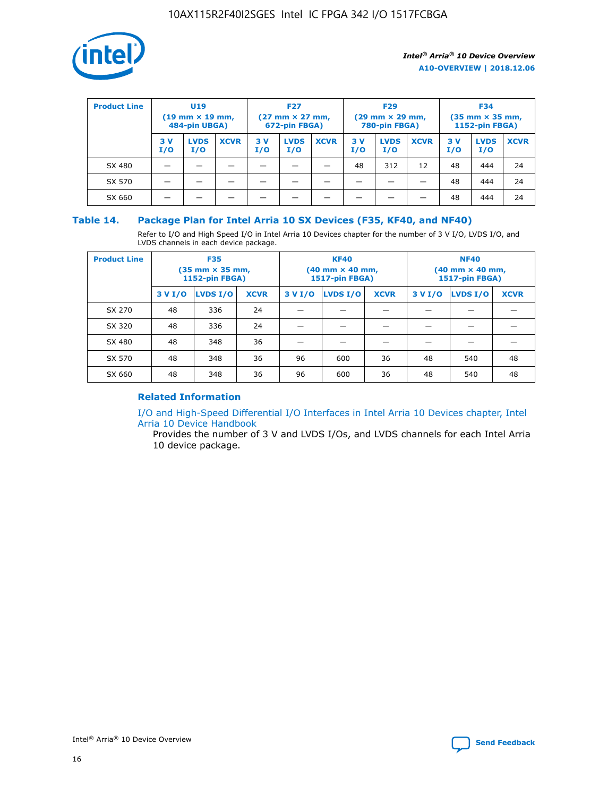

| <b>Product Line</b> | U <sub>19</sub><br>$(19 \text{ mm} \times 19 \text{ mm})$<br>484-pin UBGA) |                    | <b>F27</b><br>$(27 \text{ mm} \times 27 \text{ mm})$<br>672-pin FBGA) |            | <b>F29</b><br>$(29 \text{ mm} \times 29 \text{ mm})$<br>780-pin FBGA) |             |           | <b>F34</b><br>$(35 \text{ mm} \times 35 \text{ mm})$<br><b>1152-pin FBGA)</b> |             |           |                    |             |
|---------------------|----------------------------------------------------------------------------|--------------------|-----------------------------------------------------------------------|------------|-----------------------------------------------------------------------|-------------|-----------|-------------------------------------------------------------------------------|-------------|-----------|--------------------|-------------|
|                     | 3 V<br>I/O                                                                 | <b>LVDS</b><br>I/O | <b>XCVR</b>                                                           | 3 V<br>I/O | <b>LVDS</b><br>I/O                                                    | <b>XCVR</b> | 3V<br>I/O | <b>LVDS</b><br>I/O                                                            | <b>XCVR</b> | 3V<br>I/O | <b>LVDS</b><br>I/O | <b>XCVR</b> |
| SX 480              |                                                                            |                    |                                                                       |            |                                                                       |             | 48        | 312                                                                           | 12          | 48        | 444                | 24          |
| SX 570              |                                                                            |                    |                                                                       |            |                                                                       |             |           |                                                                               |             | 48        | 444                | 24          |
| SX 660              |                                                                            |                    |                                                                       |            |                                                                       |             |           |                                                                               |             | 48        | 444                | 24          |

## **Table 14. Package Plan for Intel Arria 10 SX Devices (F35, KF40, and NF40)**

Refer to I/O and High Speed I/O in Intel Arria 10 Devices chapter for the number of 3 V I/O, LVDS I/O, and LVDS channels in each device package.

| <b>Product Line</b> | <b>F35</b><br>$(35 \text{ mm} \times 35 \text{ mm})$<br><b>1152-pin FBGA)</b> |          |             |                                           | <b>KF40</b><br>(40 mm × 40 mm,<br>1517-pin FBGA) |    | <b>NF40</b><br>$(40 \text{ mm} \times 40 \text{ mm})$<br>1517-pin FBGA) |          |             |  |
|---------------------|-------------------------------------------------------------------------------|----------|-------------|-------------------------------------------|--------------------------------------------------|----|-------------------------------------------------------------------------|----------|-------------|--|
|                     | 3 V I/O                                                                       | LVDS I/O | <b>XCVR</b> | <b>LVDS I/O</b><br><b>XCVR</b><br>3 V I/O |                                                  |    | 3 V I/O                                                                 | LVDS I/O | <b>XCVR</b> |  |
| SX 270              | 48                                                                            | 336      | 24          |                                           |                                                  |    |                                                                         |          |             |  |
| SX 320              | 48                                                                            | 336      | 24          |                                           |                                                  |    |                                                                         |          |             |  |
| SX 480              | 48                                                                            | 348      | 36          |                                           |                                                  |    |                                                                         |          |             |  |
| SX 570              | 48                                                                            | 348      | 36          | 96<br>36<br>600                           |                                                  | 48 | 540                                                                     | 48       |             |  |
| SX 660              | 48                                                                            | 348      | 36          | 96                                        | 600                                              | 36 | 48                                                                      | 540      | 48          |  |

## **Related Information**

[I/O and High-Speed Differential I/O Interfaces in Intel Arria 10 Devices chapter, Intel](https://www.intel.com/content/www/us/en/programmable/documentation/sam1403482614086.html#sam1403482030321) [Arria 10 Device Handbook](https://www.intel.com/content/www/us/en/programmable/documentation/sam1403482614086.html#sam1403482030321)

Provides the number of 3 V and LVDS I/Os, and LVDS channels for each Intel Arria 10 device package.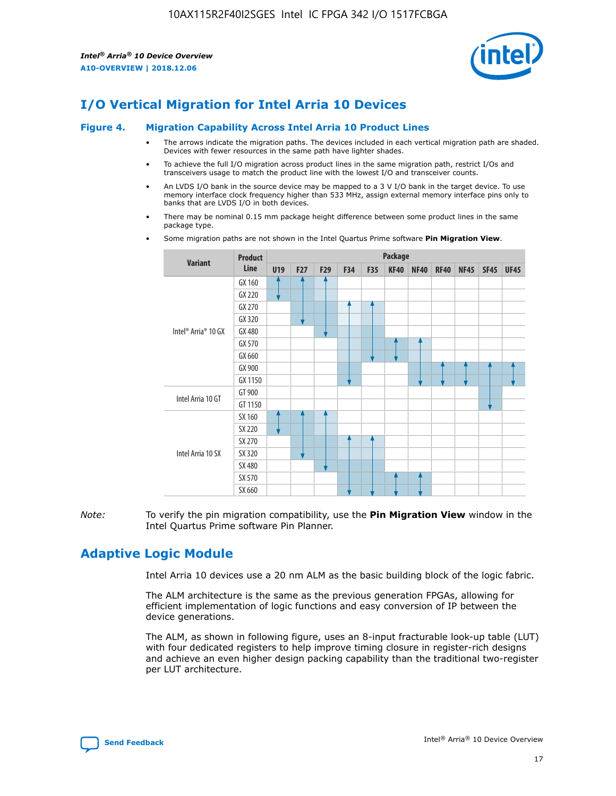

# **I/O Vertical Migration for Intel Arria 10 Devices**

#### **Figure 4. Migration Capability Across Intel Arria 10 Product Lines**

- The arrows indicate the migration paths. The devices included in each vertical migration path are shaded. Devices with fewer resources in the same path have lighter shades.
- To achieve the full I/O migration across product lines in the same migration path, restrict I/Os and transceivers usage to match the product line with the lowest I/O and transceiver counts.
- An LVDS I/O bank in the source device may be mapped to a 3 V I/O bank in the target device. To use memory interface clock frequency higher than 533 MHz, assign external memory interface pins only to banks that are LVDS I/O in both devices.
- There may be nominal 0.15 mm package height difference between some product lines in the same package type.
	- **Variant Product Line Package U19 F27 F29 F34 F35 KF40 NF40 RF40 NF45 SF45 UF45** Intel® Arria® 10 GX GX 160 GX 220 GX 270 GX 320 GX 480 GX 570 GX 660 GX 900 GX 1150 Intel Arria 10 GT GT 900 GT 1150 Intel Arria 10 SX SX 160 SX 220 SX 270 SX 320 SX 480 SX 570 SX 660
- Some migration paths are not shown in the Intel Quartus Prime software **Pin Migration View**.

*Note:* To verify the pin migration compatibility, use the **Pin Migration View** window in the Intel Quartus Prime software Pin Planner.

# **Adaptive Logic Module**

Intel Arria 10 devices use a 20 nm ALM as the basic building block of the logic fabric.

The ALM architecture is the same as the previous generation FPGAs, allowing for efficient implementation of logic functions and easy conversion of IP between the device generations.

The ALM, as shown in following figure, uses an 8-input fracturable look-up table (LUT) with four dedicated registers to help improve timing closure in register-rich designs and achieve an even higher design packing capability than the traditional two-register per LUT architecture.

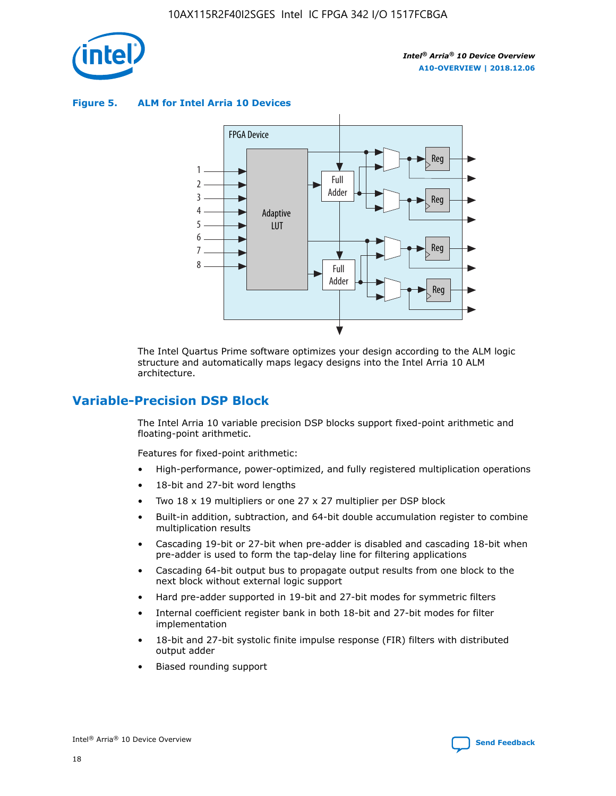

**Figure 5. ALM for Intel Arria 10 Devices**



The Intel Quartus Prime software optimizes your design according to the ALM logic structure and automatically maps legacy designs into the Intel Arria 10 ALM architecture.

## **Variable-Precision DSP Block**

The Intel Arria 10 variable precision DSP blocks support fixed-point arithmetic and floating-point arithmetic.

Features for fixed-point arithmetic:

- High-performance, power-optimized, and fully registered multiplication operations
- 18-bit and 27-bit word lengths
- Two 18 x 19 multipliers or one 27 x 27 multiplier per DSP block
- Built-in addition, subtraction, and 64-bit double accumulation register to combine multiplication results
- Cascading 19-bit or 27-bit when pre-adder is disabled and cascading 18-bit when pre-adder is used to form the tap-delay line for filtering applications
- Cascading 64-bit output bus to propagate output results from one block to the next block without external logic support
- Hard pre-adder supported in 19-bit and 27-bit modes for symmetric filters
- Internal coefficient register bank in both 18-bit and 27-bit modes for filter implementation
- 18-bit and 27-bit systolic finite impulse response (FIR) filters with distributed output adder
- Biased rounding support

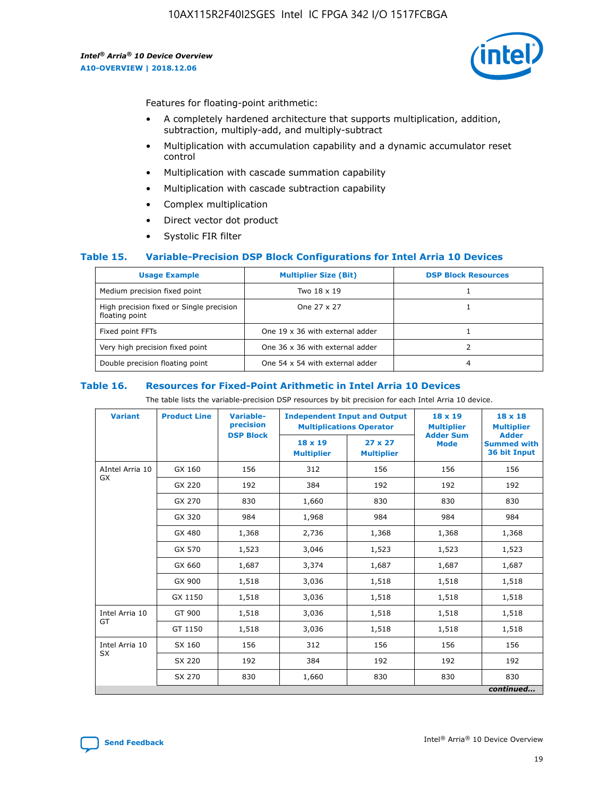

Features for floating-point arithmetic:

- A completely hardened architecture that supports multiplication, addition, subtraction, multiply-add, and multiply-subtract
- Multiplication with accumulation capability and a dynamic accumulator reset control
- Multiplication with cascade summation capability
- Multiplication with cascade subtraction capability
- Complex multiplication
- Direct vector dot product
- Systolic FIR filter

## **Table 15. Variable-Precision DSP Block Configurations for Intel Arria 10 Devices**

| <b>Usage Example</b>                                       | <b>Multiplier Size (Bit)</b>    | <b>DSP Block Resources</b> |
|------------------------------------------------------------|---------------------------------|----------------------------|
| Medium precision fixed point                               | Two 18 x 19                     |                            |
| High precision fixed or Single precision<br>floating point | One 27 x 27                     |                            |
| Fixed point FFTs                                           | One 19 x 36 with external adder |                            |
| Very high precision fixed point                            | One 36 x 36 with external adder |                            |
| Double precision floating point                            | One 54 x 54 with external adder | 4                          |

#### **Table 16. Resources for Fixed-Point Arithmetic in Intel Arria 10 Devices**

The table lists the variable-precision DSP resources by bit precision for each Intel Arria 10 device.

| <b>Variant</b>  | <b>Product Line</b> | <b>Variable-</b><br>precision<br><b>DSP Block</b> | <b>Independent Input and Output</b><br><b>Multiplications Operator</b> |                                     | 18 x 19<br><b>Multiplier</b><br><b>Adder Sum</b> | $18 \times 18$<br><b>Multiplier</b><br><b>Adder</b> |
|-----------------|---------------------|---------------------------------------------------|------------------------------------------------------------------------|-------------------------------------|--------------------------------------------------|-----------------------------------------------------|
|                 |                     |                                                   | 18 x 19<br><b>Multiplier</b>                                           | $27 \times 27$<br><b>Multiplier</b> | <b>Mode</b>                                      | <b>Summed with</b><br>36 bit Input                  |
| AIntel Arria 10 | GX 160              | 156                                               | 312                                                                    | 156                                 | 156                                              | 156                                                 |
| GX              | GX 220              | 192                                               | 384                                                                    | 192                                 | 192                                              | 192                                                 |
|                 | GX 270              | 830                                               | 1,660                                                                  | 830                                 | 830                                              | 830                                                 |
|                 | GX 320              | 984                                               | 1,968                                                                  | 984                                 | 984                                              | 984                                                 |
|                 | GX 480              | 1,368                                             | 2,736                                                                  | 1,368                               | 1,368                                            | 1,368                                               |
|                 | GX 570              | 1,523                                             | 3,046                                                                  | 1,523                               | 1,523                                            | 1,523                                               |
|                 | GX 660              | 1,687                                             | 3,374                                                                  | 1,687                               | 1,687                                            | 1,687                                               |
|                 | GX 900              | 1,518                                             | 3,036                                                                  | 1,518                               | 1,518                                            | 1,518                                               |
|                 | GX 1150             | 1,518                                             | 3,036                                                                  | 1,518                               | 1,518                                            | 1,518                                               |
| Intel Arria 10  | GT 900              | 1,518                                             | 3,036                                                                  | 1,518                               | 1,518                                            | 1,518                                               |
| GT              | GT 1150             | 1,518                                             | 3,036                                                                  | 1,518                               | 1,518                                            | 1,518                                               |
| Intel Arria 10  | SX 160              | 156                                               | 312                                                                    | 156                                 | 156                                              | 156                                                 |
| <b>SX</b>       | SX 220              | 192                                               | 384                                                                    | 192                                 | 192                                              | 192                                                 |
|                 | SX 270              | 830                                               | 830<br>1,660                                                           |                                     | 830                                              | 830                                                 |
|                 |                     |                                                   |                                                                        |                                     |                                                  | continued                                           |

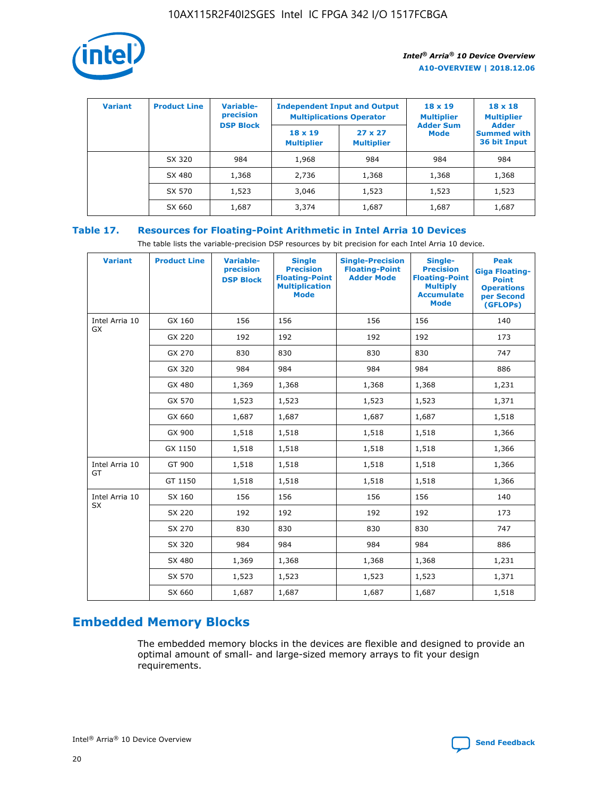

| <b>Variant</b> | <b>Product Line</b> | Variable-<br>precision | <b>Independent Input and Output</b><br><b>Multiplications Operator</b> |                                     | $18 \times 19$<br><b>Multiplier</b> | $18 \times 18$<br><b>Multiplier</b><br><b>Adder</b> |  |
|----------------|---------------------|------------------------|------------------------------------------------------------------------|-------------------------------------|-------------------------------------|-----------------------------------------------------|--|
|                |                     | <b>DSP Block</b>       | $18 \times 19$<br><b>Multiplier</b>                                    | $27 \times 27$<br><b>Multiplier</b> | <b>Adder Sum</b><br><b>Mode</b>     | <b>Summed with</b><br>36 bit Input                  |  |
|                | SX 320              | 984                    | 1,968                                                                  | 984                                 | 984                                 | 984                                                 |  |
|                | SX 480              | 1,368                  | 2,736                                                                  | 1,368                               | 1,368                               | 1,368                                               |  |
|                | SX 570              | 1,523                  | 3,046                                                                  | 1,523                               | 1,523                               | 1,523                                               |  |
|                | SX 660              | 1,687                  | 3,374                                                                  | 1,687                               | 1,687                               | 1,687                                               |  |

## **Table 17. Resources for Floating-Point Arithmetic in Intel Arria 10 Devices**

The table lists the variable-precision DSP resources by bit precision for each Intel Arria 10 device.

| <b>Variant</b> | <b>Product Line</b> | <b>Variable-</b><br>precision<br><b>DSP Block</b> | <b>Single</b><br><b>Precision</b><br><b>Floating-Point</b><br><b>Multiplication</b><br><b>Mode</b> | <b>Single-Precision</b><br><b>Floating-Point</b><br><b>Adder Mode</b> | Single-<br><b>Precision</b><br><b>Floating-Point</b><br><b>Multiply</b><br><b>Accumulate</b><br><b>Mode</b> | <b>Peak</b><br><b>Giga Floating-</b><br><b>Point</b><br><b>Operations</b><br>per Second<br>(GFLOPs) |
|----------------|---------------------|---------------------------------------------------|----------------------------------------------------------------------------------------------------|-----------------------------------------------------------------------|-------------------------------------------------------------------------------------------------------------|-----------------------------------------------------------------------------------------------------|
| Intel Arria 10 | GX 160              | 156                                               | 156                                                                                                | 156                                                                   | 156                                                                                                         | 140                                                                                                 |
| <b>GX</b>      | GX 220              | 192                                               | 192                                                                                                | 192                                                                   | 192                                                                                                         | 173                                                                                                 |
|                | GX 270              | 830                                               | 830                                                                                                | 830                                                                   | 830                                                                                                         | 747                                                                                                 |
|                | GX 320              | 984                                               | 984                                                                                                | 984                                                                   | 984                                                                                                         | 886                                                                                                 |
|                | GX 480              | 1,369                                             | 1,368                                                                                              | 1,368                                                                 | 1,368                                                                                                       | 1,231                                                                                               |
|                | GX 570              | 1,523                                             | 1,523                                                                                              | 1,523                                                                 | 1,523                                                                                                       | 1,371                                                                                               |
|                | GX 660              | 1,687                                             | 1,687                                                                                              | 1,687                                                                 | 1,687                                                                                                       | 1,518                                                                                               |
|                | GX 900              | 1,518                                             | 1,518                                                                                              | 1,518                                                                 | 1,518                                                                                                       | 1,366                                                                                               |
|                | GX 1150             | 1,518                                             | 1,518                                                                                              | 1,518                                                                 | 1,518                                                                                                       | 1,366                                                                                               |
| Intel Arria 10 | GT 900              | 1,518                                             | 1,518                                                                                              | 1,518                                                                 | 1,518                                                                                                       | 1,366                                                                                               |
| GT             | GT 1150             | 1,518                                             | 1,518                                                                                              | 1,518                                                                 | 1,518                                                                                                       | 1,366                                                                                               |
| Intel Arria 10 | SX 160              | 156                                               | 156                                                                                                | 156                                                                   | 156                                                                                                         | 140                                                                                                 |
| SX             | SX 220              | 192                                               | 192                                                                                                | 192                                                                   | 192                                                                                                         | 173                                                                                                 |
|                | SX 270              | 830                                               | 830                                                                                                | 830                                                                   | 830                                                                                                         | 747                                                                                                 |
|                | SX 320              | 984                                               | 984                                                                                                | 984                                                                   | 984                                                                                                         | 886                                                                                                 |
|                | SX 480              | 1,369                                             | 1,368                                                                                              | 1,368                                                                 | 1,368                                                                                                       | 1,231                                                                                               |
|                | SX 570              | 1,523                                             | 1,523                                                                                              | 1,523                                                                 | 1,523                                                                                                       | 1,371                                                                                               |
|                | SX 660              | 1,687                                             | 1,687                                                                                              | 1,687                                                                 | 1,687                                                                                                       | 1,518                                                                                               |

# **Embedded Memory Blocks**

The embedded memory blocks in the devices are flexible and designed to provide an optimal amount of small- and large-sized memory arrays to fit your design requirements.

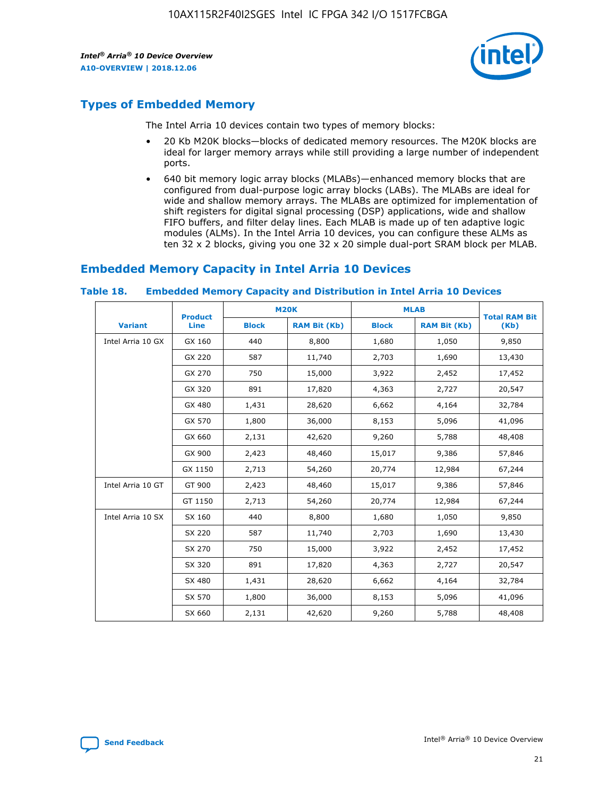

# **Types of Embedded Memory**

The Intel Arria 10 devices contain two types of memory blocks:

- 20 Kb M20K blocks—blocks of dedicated memory resources. The M20K blocks are ideal for larger memory arrays while still providing a large number of independent ports.
- 640 bit memory logic array blocks (MLABs)—enhanced memory blocks that are configured from dual-purpose logic array blocks (LABs). The MLABs are ideal for wide and shallow memory arrays. The MLABs are optimized for implementation of shift registers for digital signal processing (DSP) applications, wide and shallow FIFO buffers, and filter delay lines. Each MLAB is made up of ten adaptive logic modules (ALMs). In the Intel Arria 10 devices, you can configure these ALMs as ten 32 x 2 blocks, giving you one 32 x 20 simple dual-port SRAM block per MLAB.

## **Embedded Memory Capacity in Intel Arria 10 Devices**

|                   | <b>Product</b> |              | <b>M20K</b>         | <b>MLAB</b>  |                     | <b>Total RAM Bit</b> |
|-------------------|----------------|--------------|---------------------|--------------|---------------------|----------------------|
| <b>Variant</b>    | <b>Line</b>    | <b>Block</b> | <b>RAM Bit (Kb)</b> | <b>Block</b> | <b>RAM Bit (Kb)</b> | (Kb)                 |
| Intel Arria 10 GX | GX 160         | 440          | 8,800               | 1,680        | 1,050               | 9,850                |
|                   | GX 220         | 587          | 11,740              | 2,703        | 1,690               | 13,430               |
|                   | GX 270         | 750          | 15,000              | 3,922        | 2,452               | 17,452               |
|                   | GX 320         | 891          | 17,820              | 4,363        | 2,727               | 20,547               |
|                   | GX 480         | 1,431        | 28,620              | 6,662        | 4,164               | 32,784               |
|                   | GX 570         | 1,800        | 36,000              | 8,153        | 5,096               | 41,096               |
|                   | GX 660         | 2,131        | 42,620              | 9,260        | 5,788               | 48,408               |
|                   | GX 900         | 2,423        | 48,460              | 15,017       | 9,386               | 57,846               |
|                   | GX 1150        | 2,713        | 54,260              | 20,774       | 12,984              | 67,244               |
| Intel Arria 10 GT | GT 900         | 2,423        | 48,460              | 15,017       | 9,386               | 57,846               |
|                   | GT 1150        | 2,713        | 54,260              | 20,774       | 12,984              | 67,244               |
| Intel Arria 10 SX | SX 160         | 440          | 8,800               | 1,680        | 1,050               | 9,850                |
|                   | SX 220         | 587          | 11,740              | 2,703        | 1,690               | 13,430               |
|                   | SX 270         | 750          | 15,000              | 3,922        | 2,452               | 17,452               |
|                   | SX 320         | 891          | 17,820              | 4,363        | 2,727               | 20,547               |
|                   | SX 480         | 1,431        | 28,620              | 6,662        | 4,164               | 32,784               |
|                   | SX 570         | 1,800        | 36,000              | 8,153        | 5,096               | 41,096               |
|                   | SX 660         | 2,131        | 42,620              | 9,260        | 5,788               | 48,408               |

#### **Table 18. Embedded Memory Capacity and Distribution in Intel Arria 10 Devices**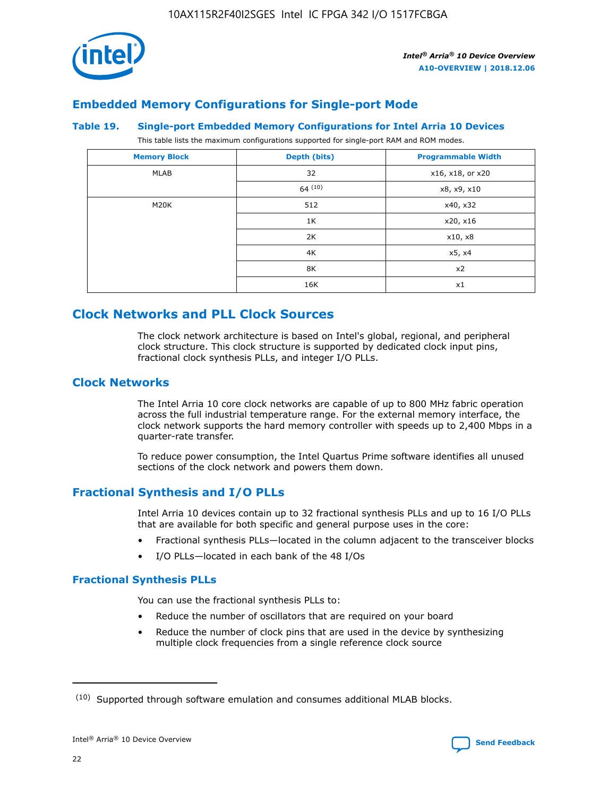

## **Embedded Memory Configurations for Single-port Mode**

#### **Table 19. Single-port Embedded Memory Configurations for Intel Arria 10 Devices**

This table lists the maximum configurations supported for single-port RAM and ROM modes.

| <b>Memory Block</b> | Depth (bits) | <b>Programmable Width</b> |
|---------------------|--------------|---------------------------|
| MLAB                | 32           | x16, x18, or x20          |
|                     | 64(10)       | x8, x9, x10               |
| M20K                | 512          | x40, x32                  |
|                     | 1K           | x20, x16                  |
|                     | 2K           | x10, x8                   |
|                     | 4K           | x5, x4                    |
|                     | 8K           | x2                        |
|                     | 16K          | x1                        |

# **Clock Networks and PLL Clock Sources**

The clock network architecture is based on Intel's global, regional, and peripheral clock structure. This clock structure is supported by dedicated clock input pins, fractional clock synthesis PLLs, and integer I/O PLLs.

## **Clock Networks**

The Intel Arria 10 core clock networks are capable of up to 800 MHz fabric operation across the full industrial temperature range. For the external memory interface, the clock network supports the hard memory controller with speeds up to 2,400 Mbps in a quarter-rate transfer.

To reduce power consumption, the Intel Quartus Prime software identifies all unused sections of the clock network and powers them down.

## **Fractional Synthesis and I/O PLLs**

Intel Arria 10 devices contain up to 32 fractional synthesis PLLs and up to 16 I/O PLLs that are available for both specific and general purpose uses in the core:

- Fractional synthesis PLLs—located in the column adjacent to the transceiver blocks
- I/O PLLs—located in each bank of the 48 I/Os

## **Fractional Synthesis PLLs**

You can use the fractional synthesis PLLs to:

- Reduce the number of oscillators that are required on your board
- Reduce the number of clock pins that are used in the device by synthesizing multiple clock frequencies from a single reference clock source

<sup>(10)</sup> Supported through software emulation and consumes additional MLAB blocks.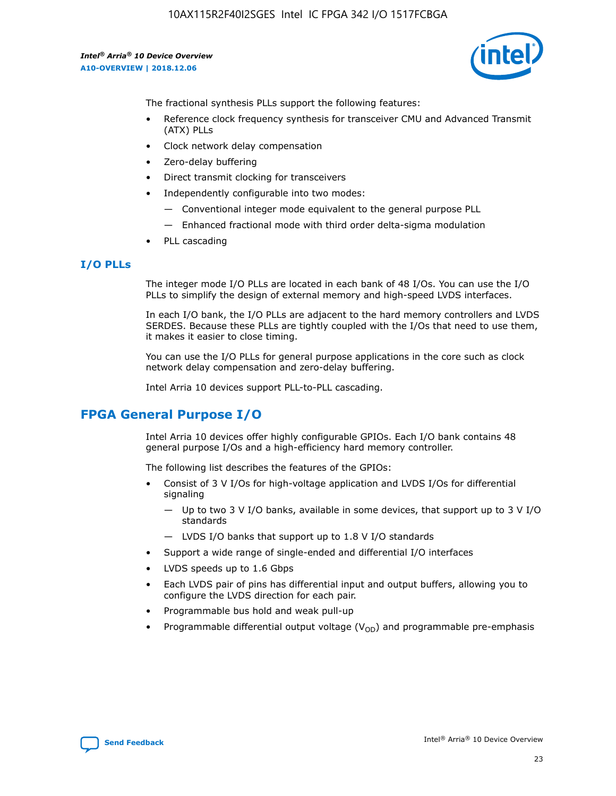

The fractional synthesis PLLs support the following features:

- Reference clock frequency synthesis for transceiver CMU and Advanced Transmit (ATX) PLLs
- Clock network delay compensation
- Zero-delay buffering
- Direct transmit clocking for transceivers
- Independently configurable into two modes:
	- Conventional integer mode equivalent to the general purpose PLL
	- Enhanced fractional mode with third order delta-sigma modulation
- PLL cascading

## **I/O PLLs**

The integer mode I/O PLLs are located in each bank of 48 I/Os. You can use the I/O PLLs to simplify the design of external memory and high-speed LVDS interfaces.

In each I/O bank, the I/O PLLs are adjacent to the hard memory controllers and LVDS SERDES. Because these PLLs are tightly coupled with the I/Os that need to use them, it makes it easier to close timing.

You can use the I/O PLLs for general purpose applications in the core such as clock network delay compensation and zero-delay buffering.

Intel Arria 10 devices support PLL-to-PLL cascading.

# **FPGA General Purpose I/O**

Intel Arria 10 devices offer highly configurable GPIOs. Each I/O bank contains 48 general purpose I/Os and a high-efficiency hard memory controller.

The following list describes the features of the GPIOs:

- Consist of 3 V I/Os for high-voltage application and LVDS I/Os for differential signaling
	- Up to two 3 V I/O banks, available in some devices, that support up to 3 V I/O standards
	- LVDS I/O banks that support up to 1.8 V I/O standards
- Support a wide range of single-ended and differential I/O interfaces
- LVDS speeds up to 1.6 Gbps
- Each LVDS pair of pins has differential input and output buffers, allowing you to configure the LVDS direction for each pair.
- Programmable bus hold and weak pull-up
- Programmable differential output voltage  $(V_{OD})$  and programmable pre-emphasis

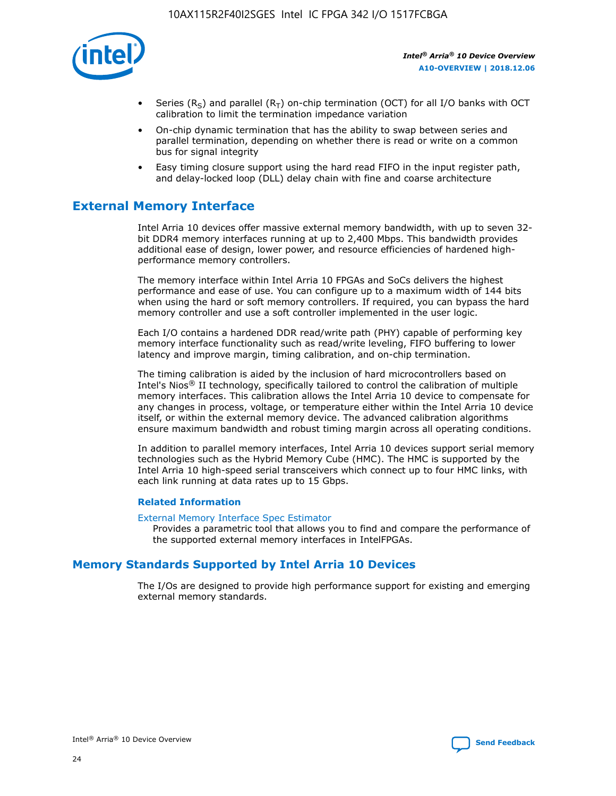

- Series (R<sub>S</sub>) and parallel (R<sub>T</sub>) on-chip termination (OCT) for all I/O banks with OCT calibration to limit the termination impedance variation
- On-chip dynamic termination that has the ability to swap between series and parallel termination, depending on whether there is read or write on a common bus for signal integrity
- Easy timing closure support using the hard read FIFO in the input register path, and delay-locked loop (DLL) delay chain with fine and coarse architecture

# **External Memory Interface**

Intel Arria 10 devices offer massive external memory bandwidth, with up to seven 32 bit DDR4 memory interfaces running at up to 2,400 Mbps. This bandwidth provides additional ease of design, lower power, and resource efficiencies of hardened highperformance memory controllers.

The memory interface within Intel Arria 10 FPGAs and SoCs delivers the highest performance and ease of use. You can configure up to a maximum width of 144 bits when using the hard or soft memory controllers. If required, you can bypass the hard memory controller and use a soft controller implemented in the user logic.

Each I/O contains a hardened DDR read/write path (PHY) capable of performing key memory interface functionality such as read/write leveling, FIFO buffering to lower latency and improve margin, timing calibration, and on-chip termination.

The timing calibration is aided by the inclusion of hard microcontrollers based on Intel's Nios® II technology, specifically tailored to control the calibration of multiple memory interfaces. This calibration allows the Intel Arria 10 device to compensate for any changes in process, voltage, or temperature either within the Intel Arria 10 device itself, or within the external memory device. The advanced calibration algorithms ensure maximum bandwidth and robust timing margin across all operating conditions.

In addition to parallel memory interfaces, Intel Arria 10 devices support serial memory technologies such as the Hybrid Memory Cube (HMC). The HMC is supported by the Intel Arria 10 high-speed serial transceivers which connect up to four HMC links, with each link running at data rates up to 15 Gbps.

## **Related Information**

#### [External Memory Interface Spec Estimator](http://www.altera.com/technology/memory/estimator/mem-emif-index.html)

Provides a parametric tool that allows you to find and compare the performance of the supported external memory interfaces in IntelFPGAs.

## **Memory Standards Supported by Intel Arria 10 Devices**

The I/Os are designed to provide high performance support for existing and emerging external memory standards.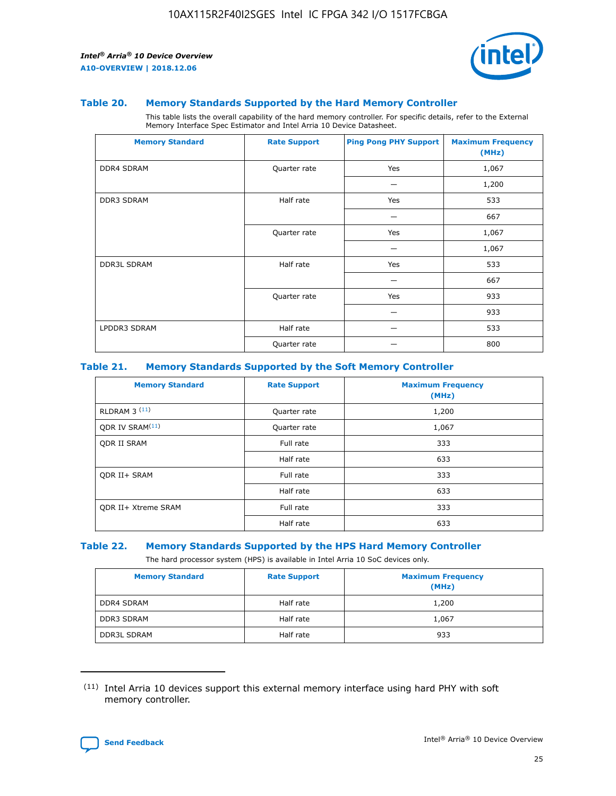

#### **Table 20. Memory Standards Supported by the Hard Memory Controller**

This table lists the overall capability of the hard memory controller. For specific details, refer to the External Memory Interface Spec Estimator and Intel Arria 10 Device Datasheet.

| <b>Memory Standard</b> | <b>Rate Support</b> | <b>Ping Pong PHY Support</b> | <b>Maximum Frequency</b><br>(MHz) |
|------------------------|---------------------|------------------------------|-----------------------------------|
| <b>DDR4 SDRAM</b>      | Quarter rate        | Yes                          | 1,067                             |
|                        |                     |                              | 1,200                             |
| DDR3 SDRAM             | Half rate           | Yes                          | 533                               |
|                        |                     |                              | 667                               |
|                        | Quarter rate        | Yes                          | 1,067                             |
|                        |                     |                              | 1,067                             |
| <b>DDR3L SDRAM</b>     | Half rate           | Yes                          | 533                               |
|                        |                     |                              | 667                               |
|                        | Quarter rate        | Yes                          | 933                               |
|                        |                     |                              | 933                               |
| LPDDR3 SDRAM           | Half rate           |                              | 533                               |
|                        | Quarter rate        |                              | 800                               |

## **Table 21. Memory Standards Supported by the Soft Memory Controller**

| <b>Memory Standard</b>      | <b>Rate Support</b> | <b>Maximum Frequency</b><br>(MHz) |
|-----------------------------|---------------------|-----------------------------------|
| <b>RLDRAM 3 (11)</b>        | Quarter rate        | 1,200                             |
| ODR IV SRAM <sup>(11)</sup> | Quarter rate        | 1,067                             |
| <b>ODR II SRAM</b>          | Full rate           | 333                               |
|                             | Half rate           | 633                               |
| <b>ODR II+ SRAM</b>         | Full rate           | 333                               |
|                             | Half rate           | 633                               |
| <b>ODR II+ Xtreme SRAM</b>  | Full rate           | 333                               |
|                             | Half rate           | 633                               |

#### **Table 22. Memory Standards Supported by the HPS Hard Memory Controller**

The hard processor system (HPS) is available in Intel Arria 10 SoC devices only.

| <b>Memory Standard</b> | <b>Rate Support</b> | <b>Maximum Frequency</b><br>(MHz) |
|------------------------|---------------------|-----------------------------------|
| <b>DDR4 SDRAM</b>      | Half rate           | 1,200                             |
| <b>DDR3 SDRAM</b>      | Half rate           | 1,067                             |
| <b>DDR3L SDRAM</b>     | Half rate           | 933                               |

<sup>(11)</sup> Intel Arria 10 devices support this external memory interface using hard PHY with soft memory controller.

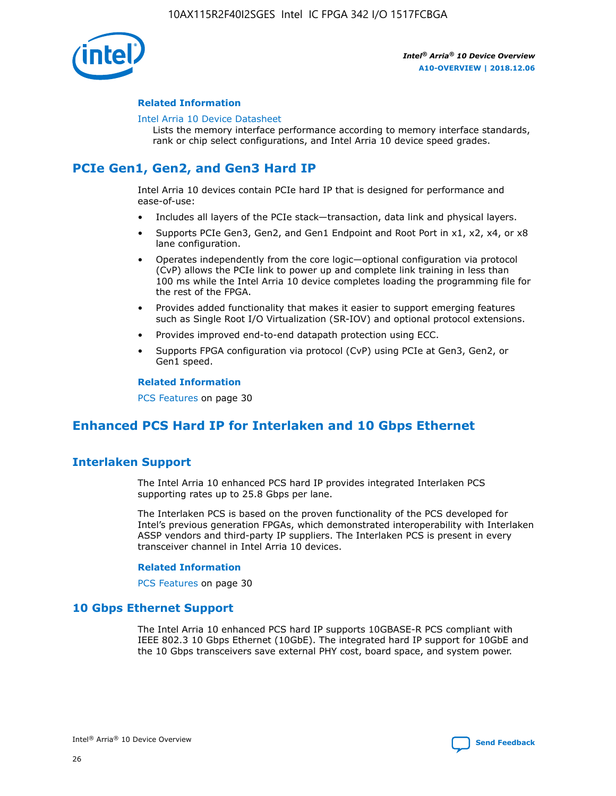

## **Related Information**

#### [Intel Arria 10 Device Datasheet](https://www.intel.com/content/www/us/en/programmable/documentation/mcn1413182292568.html#mcn1413182153340)

Lists the memory interface performance according to memory interface standards, rank or chip select configurations, and Intel Arria 10 device speed grades.

# **PCIe Gen1, Gen2, and Gen3 Hard IP**

Intel Arria 10 devices contain PCIe hard IP that is designed for performance and ease-of-use:

- Includes all layers of the PCIe stack—transaction, data link and physical layers.
- Supports PCIe Gen3, Gen2, and Gen1 Endpoint and Root Port in x1, x2, x4, or x8 lane configuration.
- Operates independently from the core logic—optional configuration via protocol (CvP) allows the PCIe link to power up and complete link training in less than 100 ms while the Intel Arria 10 device completes loading the programming file for the rest of the FPGA.
- Provides added functionality that makes it easier to support emerging features such as Single Root I/O Virtualization (SR-IOV) and optional protocol extensions.
- Provides improved end-to-end datapath protection using ECC.
- Supports FPGA configuration via protocol (CvP) using PCIe at Gen3, Gen2, or Gen1 speed.

#### **Related Information**

PCS Features on page 30

# **Enhanced PCS Hard IP for Interlaken and 10 Gbps Ethernet**

## **Interlaken Support**

The Intel Arria 10 enhanced PCS hard IP provides integrated Interlaken PCS supporting rates up to 25.8 Gbps per lane.

The Interlaken PCS is based on the proven functionality of the PCS developed for Intel's previous generation FPGAs, which demonstrated interoperability with Interlaken ASSP vendors and third-party IP suppliers. The Interlaken PCS is present in every transceiver channel in Intel Arria 10 devices.

## **Related Information**

PCS Features on page 30

## **10 Gbps Ethernet Support**

The Intel Arria 10 enhanced PCS hard IP supports 10GBASE-R PCS compliant with IEEE 802.3 10 Gbps Ethernet (10GbE). The integrated hard IP support for 10GbE and the 10 Gbps transceivers save external PHY cost, board space, and system power.

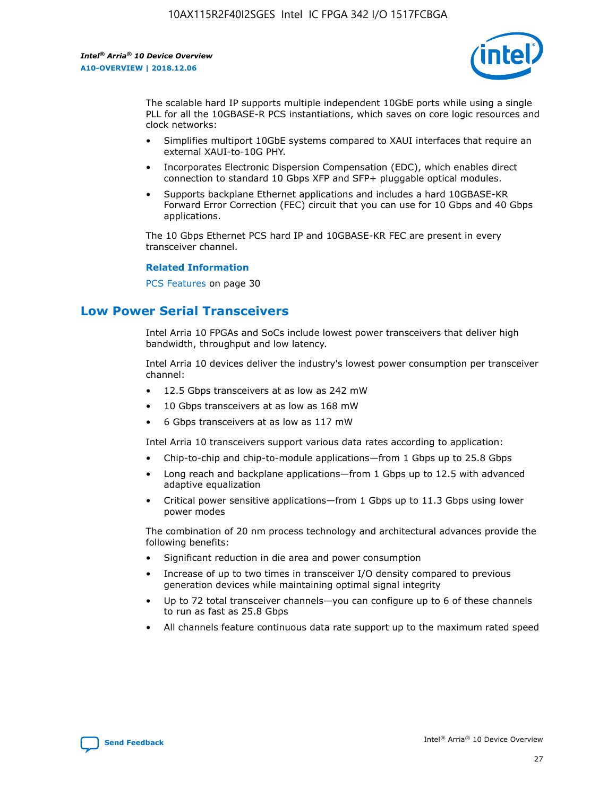

The scalable hard IP supports multiple independent 10GbE ports while using a single PLL for all the 10GBASE-R PCS instantiations, which saves on core logic resources and clock networks:

- Simplifies multiport 10GbE systems compared to XAUI interfaces that require an external XAUI-to-10G PHY.
- Incorporates Electronic Dispersion Compensation (EDC), which enables direct connection to standard 10 Gbps XFP and SFP+ pluggable optical modules.
- Supports backplane Ethernet applications and includes a hard 10GBASE-KR Forward Error Correction (FEC) circuit that you can use for 10 Gbps and 40 Gbps applications.

The 10 Gbps Ethernet PCS hard IP and 10GBASE-KR FEC are present in every transceiver channel.

#### **Related Information**

PCS Features on page 30

# **Low Power Serial Transceivers**

Intel Arria 10 FPGAs and SoCs include lowest power transceivers that deliver high bandwidth, throughput and low latency.

Intel Arria 10 devices deliver the industry's lowest power consumption per transceiver channel:

- 12.5 Gbps transceivers at as low as 242 mW
- 10 Gbps transceivers at as low as 168 mW
- 6 Gbps transceivers at as low as 117 mW

Intel Arria 10 transceivers support various data rates according to application:

- Chip-to-chip and chip-to-module applications—from 1 Gbps up to 25.8 Gbps
- Long reach and backplane applications—from 1 Gbps up to 12.5 with advanced adaptive equalization
- Critical power sensitive applications—from 1 Gbps up to 11.3 Gbps using lower power modes

The combination of 20 nm process technology and architectural advances provide the following benefits:

- Significant reduction in die area and power consumption
- Increase of up to two times in transceiver I/O density compared to previous generation devices while maintaining optimal signal integrity
- Up to 72 total transceiver channels—you can configure up to 6 of these channels to run as fast as 25.8 Gbps
- All channels feature continuous data rate support up to the maximum rated speed

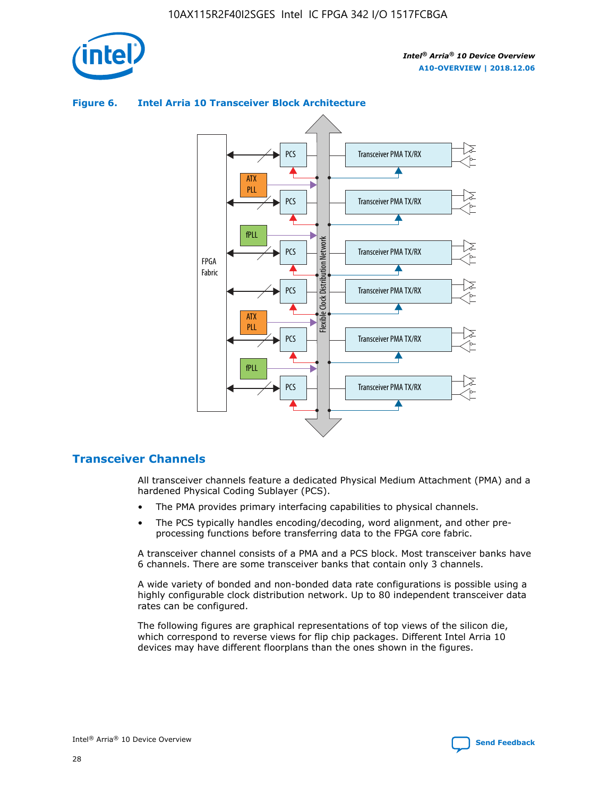



## **Figure 6. Intel Arria 10 Transceiver Block Architecture**

## **Transceiver Channels**

All transceiver channels feature a dedicated Physical Medium Attachment (PMA) and a hardened Physical Coding Sublayer (PCS).

- The PMA provides primary interfacing capabilities to physical channels.
- The PCS typically handles encoding/decoding, word alignment, and other preprocessing functions before transferring data to the FPGA core fabric.

A transceiver channel consists of a PMA and a PCS block. Most transceiver banks have 6 channels. There are some transceiver banks that contain only 3 channels.

A wide variety of bonded and non-bonded data rate configurations is possible using a highly configurable clock distribution network. Up to 80 independent transceiver data rates can be configured.

The following figures are graphical representations of top views of the silicon die, which correspond to reverse views for flip chip packages. Different Intel Arria 10 devices may have different floorplans than the ones shown in the figures.

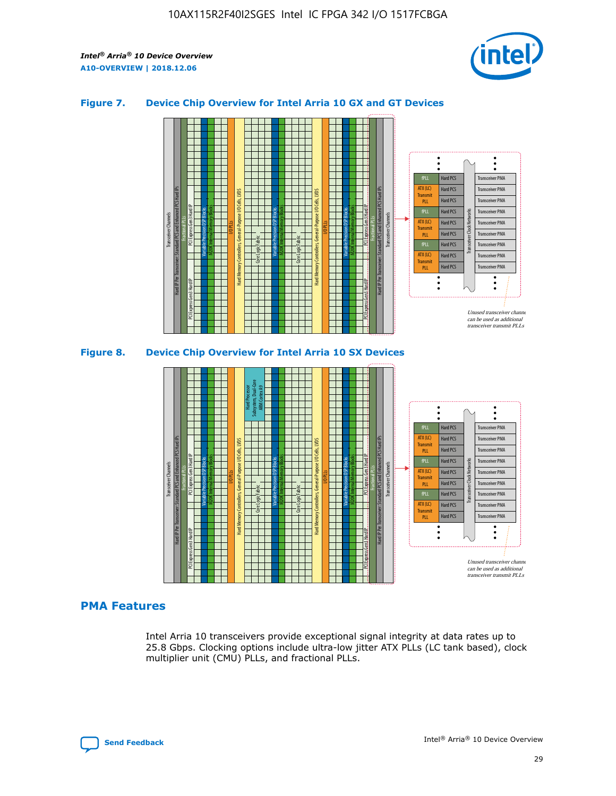

## **Figure 7. Device Chip Overview for Intel Arria 10 GX and GT Devices**





## **PMA Features**

Intel Arria 10 transceivers provide exceptional signal integrity at data rates up to 25.8 Gbps. Clocking options include ultra-low jitter ATX PLLs (LC tank based), clock multiplier unit (CMU) PLLs, and fractional PLLs.

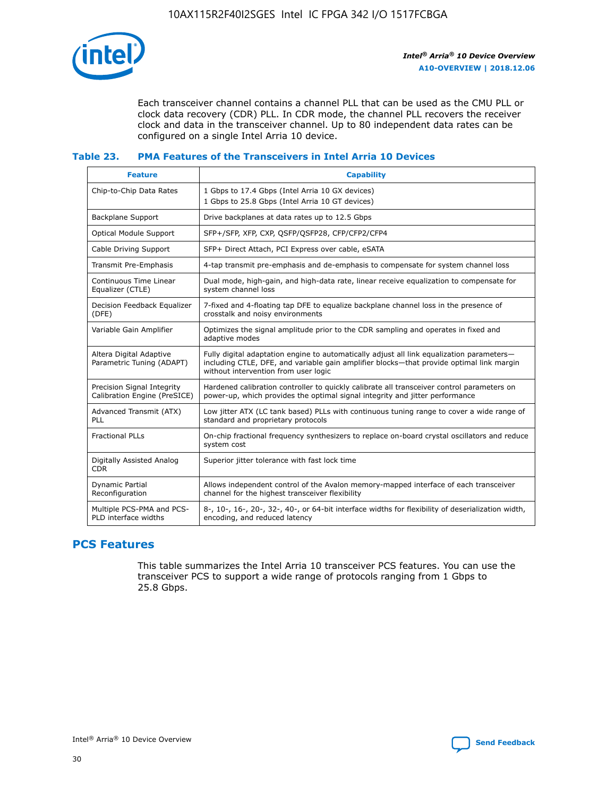

Each transceiver channel contains a channel PLL that can be used as the CMU PLL or clock data recovery (CDR) PLL. In CDR mode, the channel PLL recovers the receiver clock and data in the transceiver channel. Up to 80 independent data rates can be configured on a single Intel Arria 10 device.

## **Table 23. PMA Features of the Transceivers in Intel Arria 10 Devices**

| <b>Feature</b>                                             | <b>Capability</b>                                                                                                                                                                                                             |
|------------------------------------------------------------|-------------------------------------------------------------------------------------------------------------------------------------------------------------------------------------------------------------------------------|
| Chip-to-Chip Data Rates                                    | 1 Gbps to 17.4 Gbps (Intel Arria 10 GX devices)<br>1 Gbps to 25.8 Gbps (Intel Arria 10 GT devices)                                                                                                                            |
| <b>Backplane Support</b>                                   | Drive backplanes at data rates up to 12.5 Gbps                                                                                                                                                                                |
| Optical Module Support                                     | SFP+/SFP, XFP, CXP, QSFP/QSFP28, CFP/CFP2/CFP4                                                                                                                                                                                |
| Cable Driving Support                                      | SFP+ Direct Attach, PCI Express over cable, eSATA                                                                                                                                                                             |
| Transmit Pre-Emphasis                                      | 4-tap transmit pre-emphasis and de-emphasis to compensate for system channel loss                                                                                                                                             |
| Continuous Time Linear<br>Equalizer (CTLE)                 | Dual mode, high-gain, and high-data rate, linear receive equalization to compensate for<br>system channel loss                                                                                                                |
| Decision Feedback Equalizer<br>(DFE)                       | 7-fixed and 4-floating tap DFE to equalize backplane channel loss in the presence of<br>crosstalk and noisy environments                                                                                                      |
| Variable Gain Amplifier                                    | Optimizes the signal amplitude prior to the CDR sampling and operates in fixed and<br>adaptive modes                                                                                                                          |
| Altera Digital Adaptive<br>Parametric Tuning (ADAPT)       | Fully digital adaptation engine to automatically adjust all link equalization parameters-<br>including CTLE, DFE, and variable gain amplifier blocks—that provide optimal link margin<br>without intervention from user logic |
| Precision Signal Integrity<br>Calibration Engine (PreSICE) | Hardened calibration controller to quickly calibrate all transceiver control parameters on<br>power-up, which provides the optimal signal integrity and jitter performance                                                    |
| Advanced Transmit (ATX)<br><b>PLL</b>                      | Low jitter ATX (LC tank based) PLLs with continuous tuning range to cover a wide range of<br>standard and proprietary protocols                                                                                               |
| <b>Fractional PLLs</b>                                     | On-chip fractional frequency synthesizers to replace on-board crystal oscillators and reduce<br>system cost                                                                                                                   |
| Digitally Assisted Analog<br><b>CDR</b>                    | Superior jitter tolerance with fast lock time                                                                                                                                                                                 |
| Dynamic Partial<br>Reconfiguration                         | Allows independent control of the Avalon memory-mapped interface of each transceiver<br>channel for the highest transceiver flexibility                                                                                       |
| Multiple PCS-PMA and PCS-<br>PLD interface widths          | 8-, 10-, 16-, 20-, 32-, 40-, or 64-bit interface widths for flexibility of deserialization width,<br>encoding, and reduced latency                                                                                            |

## **PCS Features**

This table summarizes the Intel Arria 10 transceiver PCS features. You can use the transceiver PCS to support a wide range of protocols ranging from 1 Gbps to 25.8 Gbps.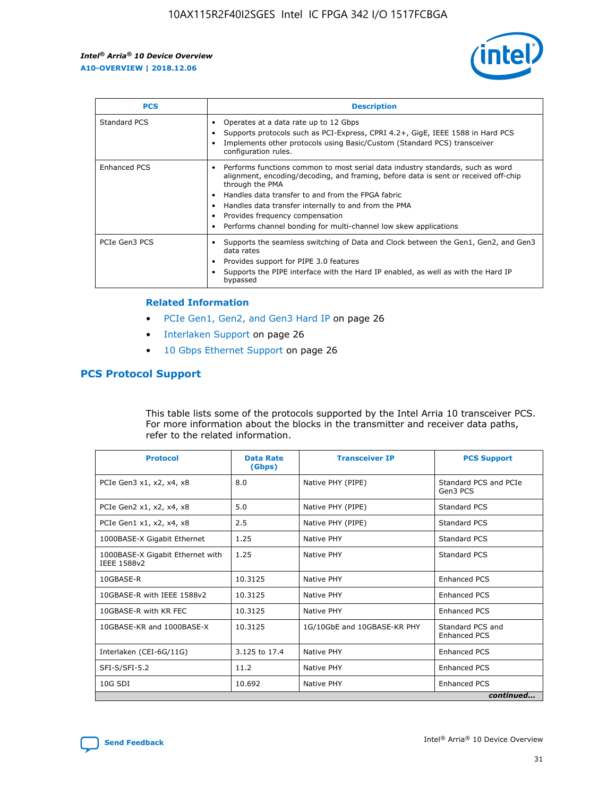

| <b>PCS</b>    | <b>Description</b>                                                                                                                                                                                                                                                                                                                                                                                             |
|---------------|----------------------------------------------------------------------------------------------------------------------------------------------------------------------------------------------------------------------------------------------------------------------------------------------------------------------------------------------------------------------------------------------------------------|
| Standard PCS  | Operates at a data rate up to 12 Gbps<br>Supports protocols such as PCI-Express, CPRI 4.2+, GigE, IEEE 1588 in Hard PCS<br>Implements other protocols using Basic/Custom (Standard PCS) transceiver<br>configuration rules.                                                                                                                                                                                    |
| Enhanced PCS  | Performs functions common to most serial data industry standards, such as word<br>alignment, encoding/decoding, and framing, before data is sent or received off-chip<br>through the PMA<br>• Handles data transfer to and from the FPGA fabric<br>Handles data transfer internally to and from the PMA<br>Provides frequency compensation<br>Performs channel bonding for multi-channel low skew applications |
| PCIe Gen3 PCS | Supports the seamless switching of Data and Clock between the Gen1, Gen2, and Gen3<br>data rates<br>Provides support for PIPE 3.0 features<br>Supports the PIPE interface with the Hard IP enabled, as well as with the Hard IP<br>bypassed                                                                                                                                                                    |

#### **Related Information**

- PCIe Gen1, Gen2, and Gen3 Hard IP on page 26
- Interlaken Support on page 26
- 10 Gbps Ethernet Support on page 26

## **PCS Protocol Support**

This table lists some of the protocols supported by the Intel Arria 10 transceiver PCS. For more information about the blocks in the transmitter and receiver data paths, refer to the related information.

| <b>Protocol</b>                                 | <b>Data Rate</b><br>(Gbps) | <b>Transceiver IP</b>       | <b>PCS Support</b>                      |
|-------------------------------------------------|----------------------------|-----------------------------|-----------------------------------------|
| PCIe Gen3 x1, x2, x4, x8                        | 8.0                        | Native PHY (PIPE)           | Standard PCS and PCIe<br>Gen3 PCS       |
| PCIe Gen2 x1, x2, x4, x8                        | 5.0                        | Native PHY (PIPE)           | <b>Standard PCS</b>                     |
| PCIe Gen1 x1, x2, x4, x8                        | 2.5                        | Native PHY (PIPE)           | Standard PCS                            |
| 1000BASE-X Gigabit Ethernet                     | 1.25                       | Native PHY                  | Standard PCS                            |
| 1000BASE-X Gigabit Ethernet with<br>IEEE 1588v2 | 1.25                       | Native PHY                  | Standard PCS                            |
| 10GBASE-R                                       | 10.3125                    | Native PHY                  | <b>Enhanced PCS</b>                     |
| 10GBASE-R with IEEE 1588v2                      | 10.3125                    | Native PHY                  | <b>Enhanced PCS</b>                     |
| 10GBASE-R with KR FEC                           | 10.3125                    | Native PHY                  | <b>Enhanced PCS</b>                     |
| 10GBASE-KR and 1000BASE-X                       | 10.3125                    | 1G/10GbE and 10GBASE-KR PHY | Standard PCS and<br><b>Enhanced PCS</b> |
| Interlaken (CEI-6G/11G)                         | 3.125 to 17.4              | Native PHY                  | <b>Enhanced PCS</b>                     |
| SFI-S/SFI-5.2                                   | 11.2                       | Native PHY                  | <b>Enhanced PCS</b>                     |
| $10G$ SDI                                       | 10.692                     | Native PHY                  | <b>Enhanced PCS</b>                     |
|                                                 |                            |                             | continued                               |

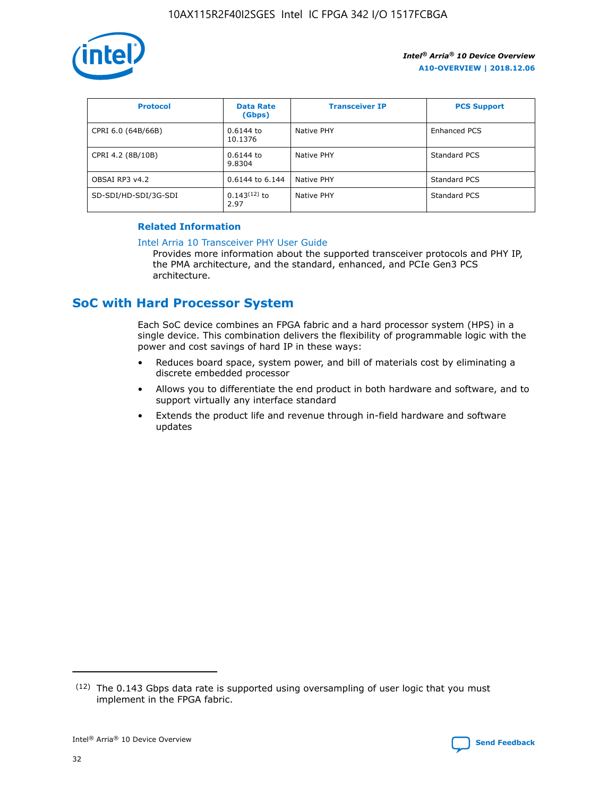

| <b>Protocol</b>      | <b>Data Rate</b><br>(Gbps) | <b>Transceiver IP</b> | <b>PCS Support</b> |
|----------------------|----------------------------|-----------------------|--------------------|
| CPRI 6.0 (64B/66B)   | 0.6144 to<br>10.1376       | Native PHY            | Enhanced PCS       |
| CPRI 4.2 (8B/10B)    | 0.6144 to<br>9.8304        | Native PHY            | Standard PCS       |
| OBSAI RP3 v4.2       | 0.6144 to 6.144            | Native PHY            | Standard PCS       |
| SD-SDI/HD-SDI/3G-SDI | $0.143(12)$ to<br>2.97     | Native PHY            | Standard PCS       |

## **Related Information**

#### [Intel Arria 10 Transceiver PHY User Guide](https://www.intel.com/content/www/us/en/programmable/documentation/nik1398707230472.html#nik1398707091164)

Provides more information about the supported transceiver protocols and PHY IP, the PMA architecture, and the standard, enhanced, and PCIe Gen3 PCS architecture.

# **SoC with Hard Processor System**

Each SoC device combines an FPGA fabric and a hard processor system (HPS) in a single device. This combination delivers the flexibility of programmable logic with the power and cost savings of hard IP in these ways:

- Reduces board space, system power, and bill of materials cost by eliminating a discrete embedded processor
- Allows you to differentiate the end product in both hardware and software, and to support virtually any interface standard
- Extends the product life and revenue through in-field hardware and software updates

 $(12)$  The 0.143 Gbps data rate is supported using oversampling of user logic that you must implement in the FPGA fabric.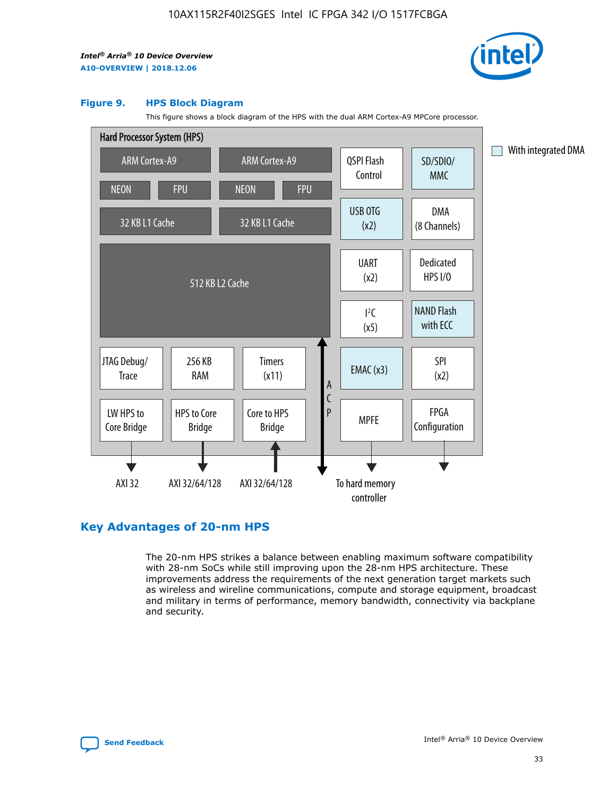

#### **Figure 9. HPS Block Diagram**

This figure shows a block diagram of the HPS with the dual ARM Cortex-A9 MPCore processor.



## **Key Advantages of 20-nm HPS**

The 20-nm HPS strikes a balance between enabling maximum software compatibility with 28-nm SoCs while still improving upon the 28-nm HPS architecture. These improvements address the requirements of the next generation target markets such as wireless and wireline communications, compute and storage equipment, broadcast and military in terms of performance, memory bandwidth, connectivity via backplane and security.

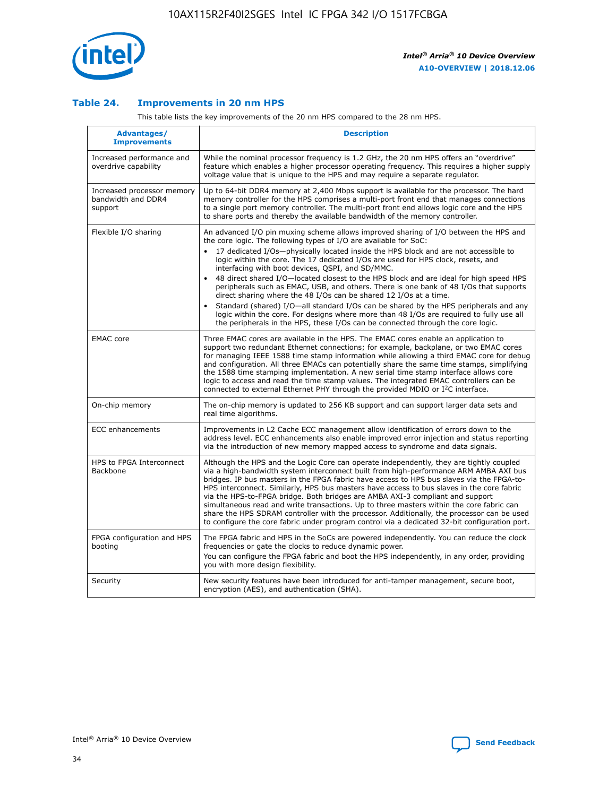

## **Table 24. Improvements in 20 nm HPS**

This table lists the key improvements of the 20 nm HPS compared to the 28 nm HPS.

| Advantages/<br><b>Improvements</b>                          | <b>Description</b>                                                                                                                                                                                                                                                                                                                                                                                                                                                                                                                                                                                                                                                                                                                                                                                                                                                                                                                   |
|-------------------------------------------------------------|--------------------------------------------------------------------------------------------------------------------------------------------------------------------------------------------------------------------------------------------------------------------------------------------------------------------------------------------------------------------------------------------------------------------------------------------------------------------------------------------------------------------------------------------------------------------------------------------------------------------------------------------------------------------------------------------------------------------------------------------------------------------------------------------------------------------------------------------------------------------------------------------------------------------------------------|
| Increased performance and<br>overdrive capability           | While the nominal processor frequency is 1.2 GHz, the 20 nm HPS offers an "overdrive"<br>feature which enables a higher processor operating frequency. This requires a higher supply<br>voltage value that is unique to the HPS and may require a separate regulator.                                                                                                                                                                                                                                                                                                                                                                                                                                                                                                                                                                                                                                                                |
| Increased processor memory<br>bandwidth and DDR4<br>support | Up to 64-bit DDR4 memory at 2,400 Mbps support is available for the processor. The hard<br>memory controller for the HPS comprises a multi-port front end that manages connections<br>to a single port memory controller. The multi-port front end allows logic core and the HPS<br>to share ports and thereby the available bandwidth of the memory controller.                                                                                                                                                                                                                                                                                                                                                                                                                                                                                                                                                                     |
| Flexible I/O sharing                                        | An advanced I/O pin muxing scheme allows improved sharing of I/O between the HPS and<br>the core logic. The following types of I/O are available for SoC:<br>17 dedicated I/Os-physically located inside the HPS block and are not accessible to<br>logic within the core. The 17 dedicated I/Os are used for HPS clock, resets, and<br>interfacing with boot devices, QSPI, and SD/MMC.<br>48 direct shared I/O-located closest to the HPS block and are ideal for high speed HPS<br>$\bullet$<br>peripherals such as EMAC, USB, and others. There is one bank of 48 I/Os that supports<br>direct sharing where the 48 I/Os can be shared 12 I/Os at a time.<br>Standard (shared) I/O-all standard I/Os can be shared by the HPS peripherals and any<br>logic within the core. For designs where more than 48 I/Os are required to fully use all<br>the peripherals in the HPS, these I/Os can be connected through the core logic. |
| <b>EMAC</b> core                                            | Three EMAC cores are available in the HPS. The EMAC cores enable an application to<br>support two redundant Ethernet connections; for example, backplane, or two EMAC cores<br>for managing IEEE 1588 time stamp information while allowing a third EMAC core for debug<br>and configuration. All three EMACs can potentially share the same time stamps, simplifying<br>the 1588 time stamping implementation. A new serial time stamp interface allows core<br>logic to access and read the time stamp values. The integrated EMAC controllers can be<br>connected to external Ethernet PHY through the provided MDIO or I <sup>2</sup> C interface.                                                                                                                                                                                                                                                                               |
| On-chip memory                                              | The on-chip memory is updated to 256 KB support and can support larger data sets and<br>real time algorithms.                                                                                                                                                                                                                                                                                                                                                                                                                                                                                                                                                                                                                                                                                                                                                                                                                        |
| <b>ECC</b> enhancements                                     | Improvements in L2 Cache ECC management allow identification of errors down to the<br>address level. ECC enhancements also enable improved error injection and status reporting<br>via the introduction of new memory mapped access to syndrome and data signals.                                                                                                                                                                                                                                                                                                                                                                                                                                                                                                                                                                                                                                                                    |
| HPS to FPGA Interconnect<br>Backbone                        | Although the HPS and the Logic Core can operate independently, they are tightly coupled<br>via a high-bandwidth system interconnect built from high-performance ARM AMBA AXI bus<br>bridges. IP bus masters in the FPGA fabric have access to HPS bus slaves via the FPGA-to-<br>HPS interconnect. Similarly, HPS bus masters have access to bus slaves in the core fabric<br>via the HPS-to-FPGA bridge. Both bridges are AMBA AXI-3 compliant and support<br>simultaneous read and write transactions. Up to three masters within the core fabric can<br>share the HPS SDRAM controller with the processor. Additionally, the processor can be used<br>to configure the core fabric under program control via a dedicated 32-bit configuration port.                                                                                                                                                                               |
| FPGA configuration and HPS<br>booting                       | The FPGA fabric and HPS in the SoCs are powered independently. You can reduce the clock<br>frequencies or gate the clocks to reduce dynamic power.<br>You can configure the FPGA fabric and boot the HPS independently, in any order, providing<br>you with more design flexibility.                                                                                                                                                                                                                                                                                                                                                                                                                                                                                                                                                                                                                                                 |
| Security                                                    | New security features have been introduced for anti-tamper management, secure boot,<br>encryption (AES), and authentication (SHA).                                                                                                                                                                                                                                                                                                                                                                                                                                                                                                                                                                                                                                                                                                                                                                                                   |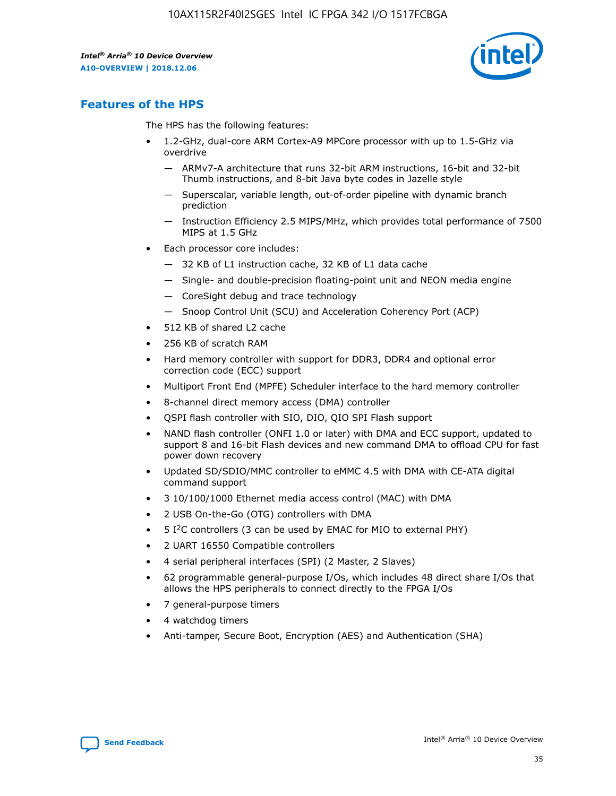

## **Features of the HPS**

The HPS has the following features:

- 1.2-GHz, dual-core ARM Cortex-A9 MPCore processor with up to 1.5-GHz via overdrive
	- ARMv7-A architecture that runs 32-bit ARM instructions, 16-bit and 32-bit Thumb instructions, and 8-bit Java byte codes in Jazelle style
	- Superscalar, variable length, out-of-order pipeline with dynamic branch prediction
	- Instruction Efficiency 2.5 MIPS/MHz, which provides total performance of 7500 MIPS at 1.5 GHz
- Each processor core includes:
	- 32 KB of L1 instruction cache, 32 KB of L1 data cache
	- Single- and double-precision floating-point unit and NEON media engine
	- CoreSight debug and trace technology
	- Snoop Control Unit (SCU) and Acceleration Coherency Port (ACP)
- 512 KB of shared L2 cache
- 256 KB of scratch RAM
- Hard memory controller with support for DDR3, DDR4 and optional error correction code (ECC) support
- Multiport Front End (MPFE) Scheduler interface to the hard memory controller
- 8-channel direct memory access (DMA) controller
- QSPI flash controller with SIO, DIO, QIO SPI Flash support
- NAND flash controller (ONFI 1.0 or later) with DMA and ECC support, updated to support 8 and 16-bit Flash devices and new command DMA to offload CPU for fast power down recovery
- Updated SD/SDIO/MMC controller to eMMC 4.5 with DMA with CE-ATA digital command support
- 3 10/100/1000 Ethernet media access control (MAC) with DMA
- 2 USB On-the-Go (OTG) controllers with DMA
- $\bullet$  5 I<sup>2</sup>C controllers (3 can be used by EMAC for MIO to external PHY)
- 2 UART 16550 Compatible controllers
- 4 serial peripheral interfaces (SPI) (2 Master, 2 Slaves)
- 62 programmable general-purpose I/Os, which includes 48 direct share I/Os that allows the HPS peripherals to connect directly to the FPGA I/Os
- 7 general-purpose timers
- 4 watchdog timers
- Anti-tamper, Secure Boot, Encryption (AES) and Authentication (SHA)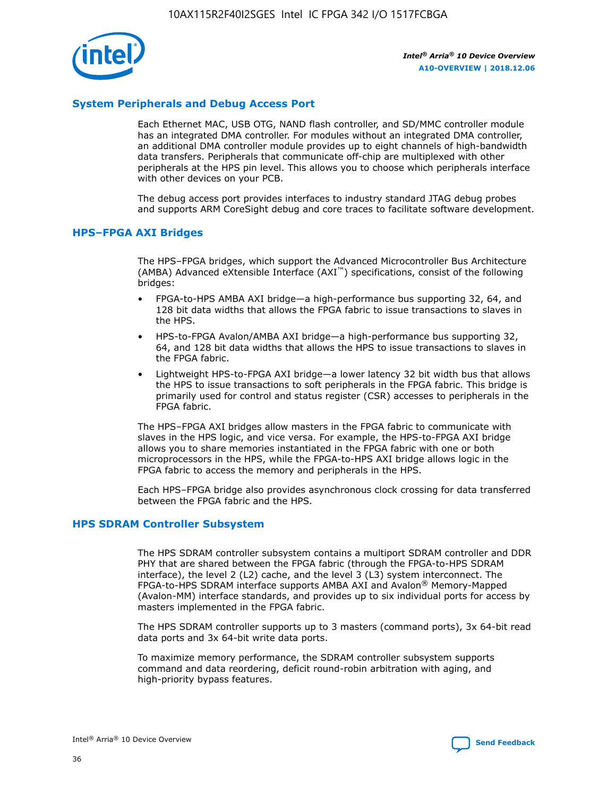

## **System Peripherals and Debug Access Port**

Each Ethernet MAC, USB OTG, NAND flash controller, and SD/MMC controller module has an integrated DMA controller. For modules without an integrated DMA controller, an additional DMA controller module provides up to eight channels of high-bandwidth data transfers. Peripherals that communicate off-chip are multiplexed with other peripherals at the HPS pin level. This allows you to choose which peripherals interface with other devices on your PCB.

The debug access port provides interfaces to industry standard JTAG debug probes and supports ARM CoreSight debug and core traces to facilitate software development.

## **HPS–FPGA AXI Bridges**

The HPS–FPGA bridges, which support the Advanced Microcontroller Bus Architecture (AMBA) Advanced eXtensible Interface (AXI™) specifications, consist of the following bridges:

- FPGA-to-HPS AMBA AXI bridge—a high-performance bus supporting 32, 64, and 128 bit data widths that allows the FPGA fabric to issue transactions to slaves in the HPS.
- HPS-to-FPGA Avalon/AMBA AXI bridge—a high-performance bus supporting 32, 64, and 128 bit data widths that allows the HPS to issue transactions to slaves in the FPGA fabric.
- Lightweight HPS-to-FPGA AXI bridge—a lower latency 32 bit width bus that allows the HPS to issue transactions to soft peripherals in the FPGA fabric. This bridge is primarily used for control and status register (CSR) accesses to peripherals in the FPGA fabric.

The HPS–FPGA AXI bridges allow masters in the FPGA fabric to communicate with slaves in the HPS logic, and vice versa. For example, the HPS-to-FPGA AXI bridge allows you to share memories instantiated in the FPGA fabric with one or both microprocessors in the HPS, while the FPGA-to-HPS AXI bridge allows logic in the FPGA fabric to access the memory and peripherals in the HPS.

Each HPS–FPGA bridge also provides asynchronous clock crossing for data transferred between the FPGA fabric and the HPS.

#### **HPS SDRAM Controller Subsystem**

The HPS SDRAM controller subsystem contains a multiport SDRAM controller and DDR PHY that are shared between the FPGA fabric (through the FPGA-to-HPS SDRAM interface), the level 2 (L2) cache, and the level 3 (L3) system interconnect. The FPGA-to-HPS SDRAM interface supports AMBA AXI and Avalon® Memory-Mapped (Avalon-MM) interface standards, and provides up to six individual ports for access by masters implemented in the FPGA fabric.

The HPS SDRAM controller supports up to 3 masters (command ports), 3x 64-bit read data ports and 3x 64-bit write data ports.

To maximize memory performance, the SDRAM controller subsystem supports command and data reordering, deficit round-robin arbitration with aging, and high-priority bypass features.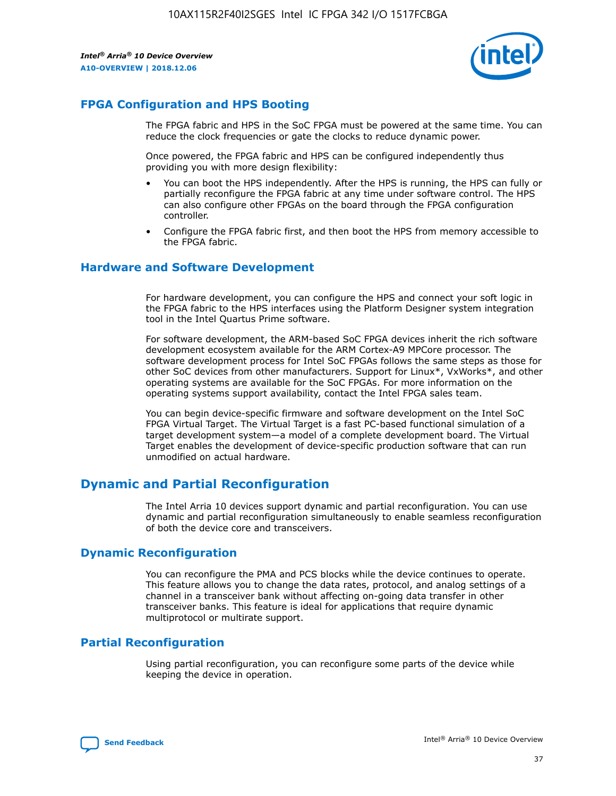

## **FPGA Configuration and HPS Booting**

The FPGA fabric and HPS in the SoC FPGA must be powered at the same time. You can reduce the clock frequencies or gate the clocks to reduce dynamic power.

Once powered, the FPGA fabric and HPS can be configured independently thus providing you with more design flexibility:

- You can boot the HPS independently. After the HPS is running, the HPS can fully or partially reconfigure the FPGA fabric at any time under software control. The HPS can also configure other FPGAs on the board through the FPGA configuration controller.
- Configure the FPGA fabric first, and then boot the HPS from memory accessible to the FPGA fabric.

## **Hardware and Software Development**

For hardware development, you can configure the HPS and connect your soft logic in the FPGA fabric to the HPS interfaces using the Platform Designer system integration tool in the Intel Quartus Prime software.

For software development, the ARM-based SoC FPGA devices inherit the rich software development ecosystem available for the ARM Cortex-A9 MPCore processor. The software development process for Intel SoC FPGAs follows the same steps as those for other SoC devices from other manufacturers. Support for Linux\*, VxWorks\*, and other operating systems are available for the SoC FPGAs. For more information on the operating systems support availability, contact the Intel FPGA sales team.

You can begin device-specific firmware and software development on the Intel SoC FPGA Virtual Target. The Virtual Target is a fast PC-based functional simulation of a target development system—a model of a complete development board. The Virtual Target enables the development of device-specific production software that can run unmodified on actual hardware.

## **Dynamic and Partial Reconfiguration**

The Intel Arria 10 devices support dynamic and partial reconfiguration. You can use dynamic and partial reconfiguration simultaneously to enable seamless reconfiguration of both the device core and transceivers.

## **Dynamic Reconfiguration**

You can reconfigure the PMA and PCS blocks while the device continues to operate. This feature allows you to change the data rates, protocol, and analog settings of a channel in a transceiver bank without affecting on-going data transfer in other transceiver banks. This feature is ideal for applications that require dynamic multiprotocol or multirate support.

## **Partial Reconfiguration**

Using partial reconfiguration, you can reconfigure some parts of the device while keeping the device in operation.

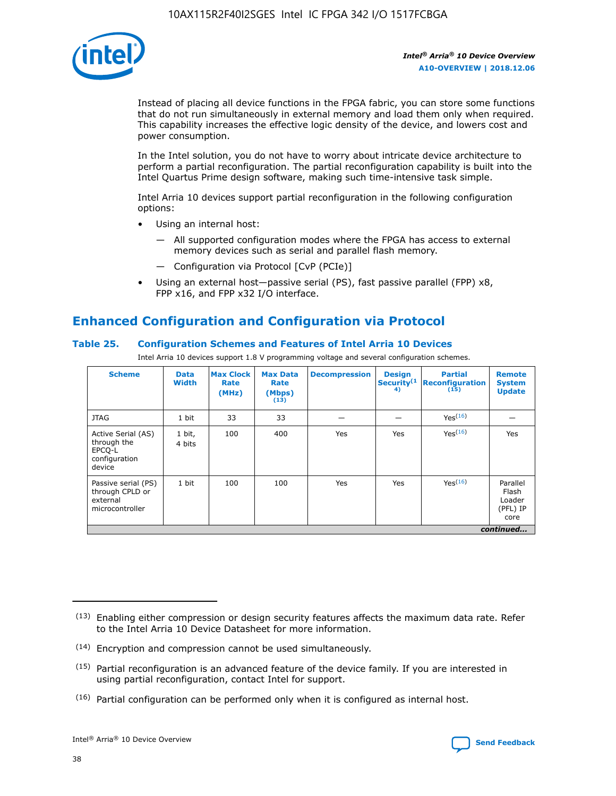

Instead of placing all device functions in the FPGA fabric, you can store some functions that do not run simultaneously in external memory and load them only when required. This capability increases the effective logic density of the device, and lowers cost and power consumption.

In the Intel solution, you do not have to worry about intricate device architecture to perform a partial reconfiguration. The partial reconfiguration capability is built into the Intel Quartus Prime design software, making such time-intensive task simple.

Intel Arria 10 devices support partial reconfiguration in the following configuration options:

- Using an internal host:
	- All supported configuration modes where the FPGA has access to external memory devices such as serial and parallel flash memory.
	- Configuration via Protocol [CvP (PCIe)]
- Using an external host—passive serial (PS), fast passive parallel (FPP) x8, FPP x16, and FPP x32 I/O interface.

# **Enhanced Configuration and Configuration via Protocol**

## **Table 25. Configuration Schemes and Features of Intel Arria 10 Devices**

Intel Arria 10 devices support 1.8 V programming voltage and several configuration schemes.

| <b>Scheme</b>                                                          | <b>Data</b><br><b>Width</b> | <b>Max Clock</b><br>Rate<br>(MHz) | <b>Max Data</b><br>Rate<br>(Mbps)<br>(13) | <b>Decompression</b> | <b>Design</b><br>Security <sup>(1</sup><br>4) | <b>Partial</b><br>Reconfiguration<br>(15) | <b>Remote</b><br><b>System</b><br><b>Update</b> |
|------------------------------------------------------------------------|-----------------------------|-----------------------------------|-------------------------------------------|----------------------|-----------------------------------------------|-------------------------------------------|-------------------------------------------------|
| <b>JTAG</b>                                                            | 1 bit                       | 33                                | 33                                        |                      |                                               | Yes <sup>(16)</sup>                       |                                                 |
| Active Serial (AS)<br>through the<br>EPCO-L<br>configuration<br>device | 1 bit,<br>4 bits            | 100                               | 400                                       | Yes                  | Yes                                           | $Y_{PS}(16)$                              | Yes                                             |
| Passive serial (PS)<br>through CPLD or<br>external<br>microcontroller  | 1 bit                       | 100                               | 100                                       | Yes                  | Yes                                           | Yes(16)                                   | Parallel<br>Flash<br>Loader<br>(PFL) IP<br>core |
|                                                                        |                             |                                   |                                           |                      |                                               |                                           | continued                                       |

<sup>(13)</sup> Enabling either compression or design security features affects the maximum data rate. Refer to the Intel Arria 10 Device Datasheet for more information.

<sup>(14)</sup> Encryption and compression cannot be used simultaneously.

 $(15)$  Partial reconfiguration is an advanced feature of the device family. If you are interested in using partial reconfiguration, contact Intel for support.

 $(16)$  Partial configuration can be performed only when it is configured as internal host.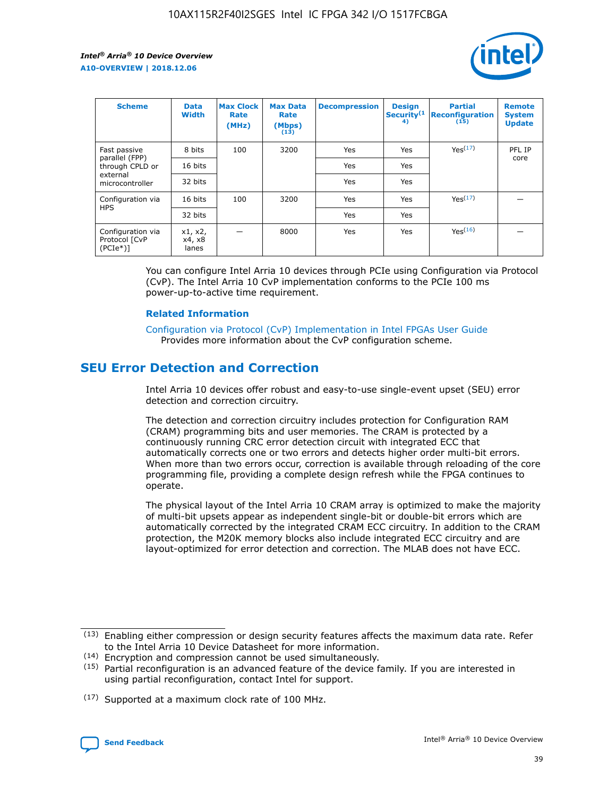

| <b>Scheme</b>                                    | <b>Data</b><br><b>Width</b> | <b>Max Clock</b><br>Rate<br>(MHz) | <b>Max Data</b><br>Rate<br>(Mbps)<br>(13) | <b>Decompression</b> | <b>Design</b><br>Security <sup>(1</sup><br>4) | <b>Partial</b><br><b>Reconfiguration</b><br>(15) | <b>Remote</b><br><b>System</b><br><b>Update</b> |
|--------------------------------------------------|-----------------------------|-----------------------------------|-------------------------------------------|----------------------|-----------------------------------------------|--------------------------------------------------|-------------------------------------------------|
| Fast passive                                     | 8 bits                      | 100                               | 3200                                      | Yes                  | Yes                                           | Yes(17)                                          | PFL IP                                          |
| parallel (FPP)<br>through CPLD or                | 16 bits                     |                                   |                                           | Yes                  | Yes                                           |                                                  | core                                            |
| external<br>microcontroller                      | 32 bits                     |                                   |                                           | Yes                  | Yes                                           |                                                  |                                                 |
| Configuration via                                | 16 bits                     | 100                               | 3200                                      | Yes                  | Yes                                           | Yes <sup>(17)</sup>                              |                                                 |
| <b>HPS</b>                                       | 32 bits                     |                                   |                                           | Yes                  | Yes                                           |                                                  |                                                 |
| Configuration via<br>Protocol [CvP<br>$(PCIe^*)$ | x1, x2,<br>x4, x8<br>lanes  |                                   | 8000                                      | Yes                  | Yes                                           | Yes(16)                                          |                                                 |

You can configure Intel Arria 10 devices through PCIe using Configuration via Protocol (CvP). The Intel Arria 10 CvP implementation conforms to the PCIe 100 ms power-up-to-active time requirement.

## **Related Information**

[Configuration via Protocol \(CvP\) Implementation in Intel FPGAs User Guide](https://www.intel.com/content/www/us/en/programmable/documentation/dsu1441819344145.html#dsu1442269728522) Provides more information about the CvP configuration scheme.

# **SEU Error Detection and Correction**

Intel Arria 10 devices offer robust and easy-to-use single-event upset (SEU) error detection and correction circuitry.

The detection and correction circuitry includes protection for Configuration RAM (CRAM) programming bits and user memories. The CRAM is protected by a continuously running CRC error detection circuit with integrated ECC that automatically corrects one or two errors and detects higher order multi-bit errors. When more than two errors occur, correction is available through reloading of the core programming file, providing a complete design refresh while the FPGA continues to operate.

The physical layout of the Intel Arria 10 CRAM array is optimized to make the majority of multi-bit upsets appear as independent single-bit or double-bit errors which are automatically corrected by the integrated CRAM ECC circuitry. In addition to the CRAM protection, the M20K memory blocks also include integrated ECC circuitry and are layout-optimized for error detection and correction. The MLAB does not have ECC.

(14) Encryption and compression cannot be used simultaneously.

<sup>(17)</sup> Supported at a maximum clock rate of 100 MHz.



 $(13)$  Enabling either compression or design security features affects the maximum data rate. Refer to the Intel Arria 10 Device Datasheet for more information.

 $(15)$  Partial reconfiguration is an advanced feature of the device family. If you are interested in using partial reconfiguration, contact Intel for support.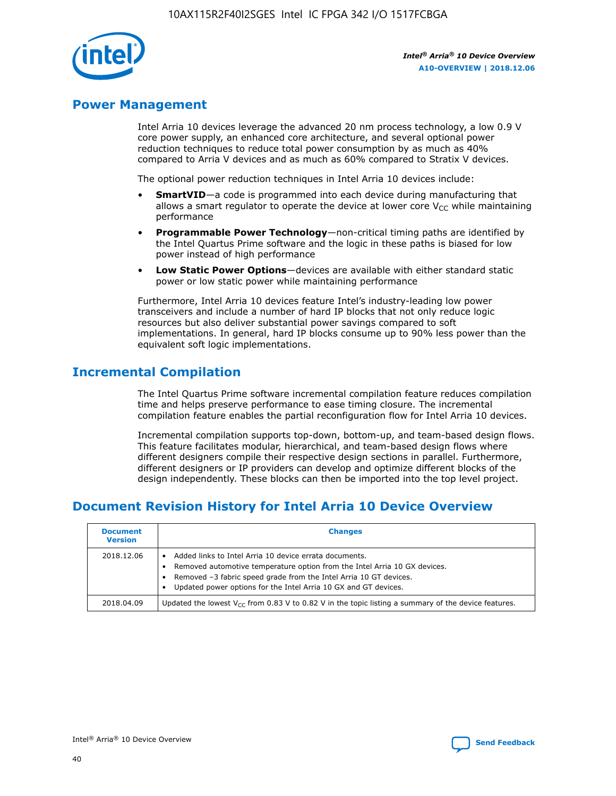

## **Power Management**

Intel Arria 10 devices leverage the advanced 20 nm process technology, a low 0.9 V core power supply, an enhanced core architecture, and several optional power reduction techniques to reduce total power consumption by as much as 40% compared to Arria V devices and as much as 60% compared to Stratix V devices.

The optional power reduction techniques in Intel Arria 10 devices include:

- **SmartVID**—a code is programmed into each device during manufacturing that allows a smart regulator to operate the device at lower core  $V_{CC}$  while maintaining performance
- **Programmable Power Technology**—non-critical timing paths are identified by the Intel Quartus Prime software and the logic in these paths is biased for low power instead of high performance
- **Low Static Power Options**—devices are available with either standard static power or low static power while maintaining performance

Furthermore, Intel Arria 10 devices feature Intel's industry-leading low power transceivers and include a number of hard IP blocks that not only reduce logic resources but also deliver substantial power savings compared to soft implementations. In general, hard IP blocks consume up to 90% less power than the equivalent soft logic implementations.

# **Incremental Compilation**

The Intel Quartus Prime software incremental compilation feature reduces compilation time and helps preserve performance to ease timing closure. The incremental compilation feature enables the partial reconfiguration flow for Intel Arria 10 devices.

Incremental compilation supports top-down, bottom-up, and team-based design flows. This feature facilitates modular, hierarchical, and team-based design flows where different designers compile their respective design sections in parallel. Furthermore, different designers or IP providers can develop and optimize different blocks of the design independently. These blocks can then be imported into the top level project.

# **Document Revision History for Intel Arria 10 Device Overview**

| <b>Document</b><br><b>Version</b> | <b>Changes</b>                                                                                                                                                                                                                                                              |
|-----------------------------------|-----------------------------------------------------------------------------------------------------------------------------------------------------------------------------------------------------------------------------------------------------------------------------|
| 2018.12.06                        | Added links to Intel Arria 10 device errata documents.<br>Removed automotive temperature option from the Intel Arria 10 GX devices.<br>Removed -3 fabric speed grade from the Intel Arria 10 GT devices.<br>Updated power options for the Intel Arria 10 GX and GT devices. |
| 2018.04.09                        | Updated the lowest $V_{CC}$ from 0.83 V to 0.82 V in the topic listing a summary of the device features.                                                                                                                                                                    |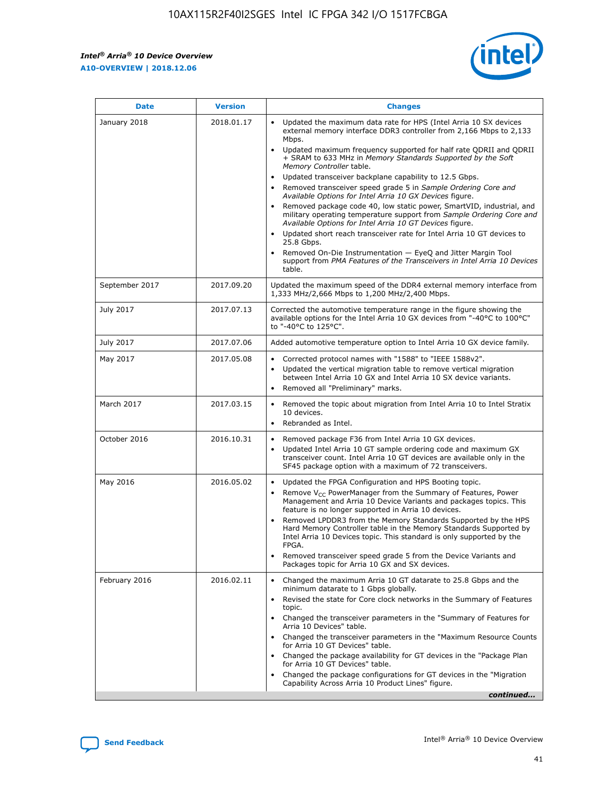

| <b>Date</b>    | <b>Version</b> | <b>Changes</b>                                                                                                                                                                                                                                                                                                                                                                                                                                                                                                                                                                                                                                                                                                                                                                                                                                                                                                                                               |
|----------------|----------------|--------------------------------------------------------------------------------------------------------------------------------------------------------------------------------------------------------------------------------------------------------------------------------------------------------------------------------------------------------------------------------------------------------------------------------------------------------------------------------------------------------------------------------------------------------------------------------------------------------------------------------------------------------------------------------------------------------------------------------------------------------------------------------------------------------------------------------------------------------------------------------------------------------------------------------------------------------------|
| January 2018   | 2018.01.17     | Updated the maximum data rate for HPS (Intel Arria 10 SX devices<br>external memory interface DDR3 controller from 2,166 Mbps to 2,133<br>Mbps.<br>Updated maximum frequency supported for half rate QDRII and QDRII<br>+ SRAM to 633 MHz in Memory Standards Supported by the Soft<br>Memory Controller table.<br>Updated transceiver backplane capability to 12.5 Gbps.<br>Removed transceiver speed grade 5 in Sample Ordering Core and<br>Available Options for Intel Arria 10 GX Devices figure.<br>Removed package code 40, low static power, SmartVID, industrial, and<br>military operating temperature support from Sample Ordering Core and<br>Available Options for Intel Arria 10 GT Devices figure.<br>Updated short reach transceiver rate for Intel Arria 10 GT devices to<br>25.8 Gbps.<br>Removed On-Die Instrumentation - EyeQ and Jitter Margin Tool<br>support from PMA Features of the Transceivers in Intel Arria 10 Devices<br>table. |
| September 2017 | 2017.09.20     | Updated the maximum speed of the DDR4 external memory interface from<br>1,333 MHz/2,666 Mbps to 1,200 MHz/2,400 Mbps.                                                                                                                                                                                                                                                                                                                                                                                                                                                                                                                                                                                                                                                                                                                                                                                                                                        |
| July 2017      | 2017.07.13     | Corrected the automotive temperature range in the figure showing the<br>available options for the Intel Arria 10 GX devices from "-40°C to 100°C"<br>to "-40°C to 125°C".                                                                                                                                                                                                                                                                                                                                                                                                                                                                                                                                                                                                                                                                                                                                                                                    |
| July 2017      | 2017.07.06     | Added automotive temperature option to Intel Arria 10 GX device family.                                                                                                                                                                                                                                                                                                                                                                                                                                                                                                                                                                                                                                                                                                                                                                                                                                                                                      |
| May 2017       | 2017.05.08     | Corrected protocol names with "1588" to "IEEE 1588v2".<br>$\bullet$<br>Updated the vertical migration table to remove vertical migration<br>$\bullet$<br>between Intel Arria 10 GX and Intel Arria 10 SX device variants.<br>Removed all "Preliminary" marks.<br>$\bullet$                                                                                                                                                                                                                                                                                                                                                                                                                                                                                                                                                                                                                                                                                   |
| March 2017     | 2017.03.15     | Removed the topic about migration from Intel Arria 10 to Intel Stratix<br>$\bullet$<br>10 devices.<br>Rebranded as Intel.<br>$\bullet$                                                                                                                                                                                                                                                                                                                                                                                                                                                                                                                                                                                                                                                                                                                                                                                                                       |
| October 2016   | 2016.10.31     | Removed package F36 from Intel Arria 10 GX devices.<br>Updated Intel Arria 10 GT sample ordering code and maximum GX<br>$\bullet$<br>transceiver count. Intel Arria 10 GT devices are available only in the<br>SF45 package option with a maximum of 72 transceivers.                                                                                                                                                                                                                                                                                                                                                                                                                                                                                                                                                                                                                                                                                        |
| May 2016       | 2016.05.02     | Updated the FPGA Configuration and HPS Booting topic.<br>$\bullet$<br>Remove V <sub>CC</sub> PowerManager from the Summary of Features, Power<br>Management and Arria 10 Device Variants and packages topics. This<br>feature is no longer supported in Arria 10 devices.<br>Removed LPDDR3 from the Memory Standards Supported by the HPS<br>Hard Memory Controller table in the Memory Standards Supported by<br>Intel Arria 10 Devices topic. This standard is only supported by the<br><b>FPGA</b><br>Removed transceiver speed grade 5 from the Device Variants and<br>Packages topic for Arria 10 GX and SX devices.                                                                                                                                                                                                                                                                                                                                   |
| February 2016  | 2016.02.11     | Changed the maximum Arria 10 GT datarate to 25.8 Gbps and the<br>$\bullet$<br>minimum datarate to 1 Gbps globally.<br>Revised the state for Core clock networks in the Summary of Features<br>$\bullet$<br>topic.<br>Changed the transceiver parameters in the "Summary of Features for<br>$\bullet$<br>Arria 10 Devices" table.<br>Changed the transceiver parameters in the "Maximum Resource Counts<br>for Arria 10 GT Devices" table.<br>Changed the package availability for GT devices in the "Package Plan<br>for Arria 10 GT Devices" table.<br>Changed the package configurations for GT devices in the "Migration"<br>Capability Across Arria 10 Product Lines" figure.<br>continued                                                                                                                                                                                                                                                               |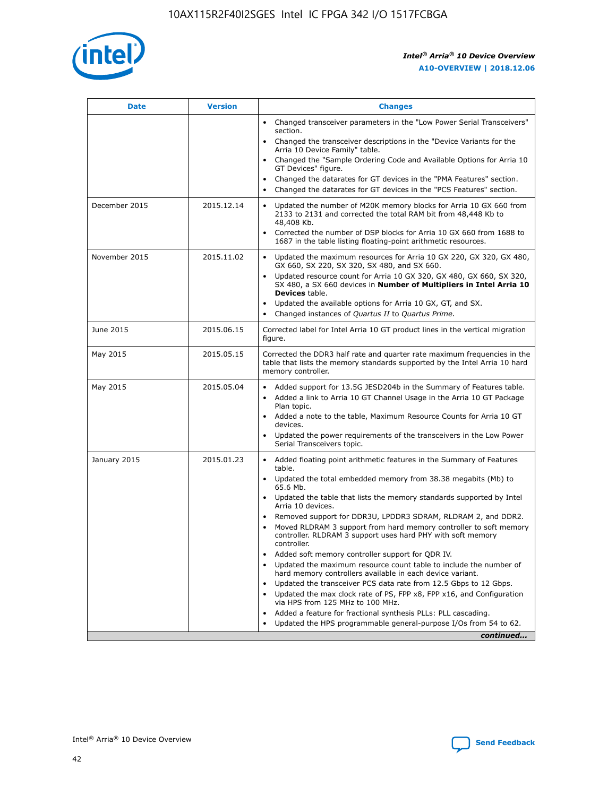

| <b>Date</b>   | <b>Version</b> | <b>Changes</b>                                                                                                                                                               |
|---------------|----------------|------------------------------------------------------------------------------------------------------------------------------------------------------------------------------|
|               |                | • Changed transceiver parameters in the "Low Power Serial Transceivers"<br>section.                                                                                          |
|               |                | • Changed the transceiver descriptions in the "Device Variants for the<br>Arria 10 Device Family" table.                                                                     |
|               |                | Changed the "Sample Ordering Code and Available Options for Arria 10<br>$\bullet$<br>GT Devices" figure.                                                                     |
|               |                | Changed the datarates for GT devices in the "PMA Features" section.                                                                                                          |
|               |                | Changed the datarates for GT devices in the "PCS Features" section.<br>$\bullet$                                                                                             |
| December 2015 | 2015.12.14     | Updated the number of M20K memory blocks for Arria 10 GX 660 from<br>2133 to 2131 and corrected the total RAM bit from 48,448 Kb to<br>48,408 Kb.                            |
|               |                | Corrected the number of DSP blocks for Arria 10 GX 660 from 1688 to<br>1687 in the table listing floating-point arithmetic resources.                                        |
| November 2015 | 2015.11.02     | Updated the maximum resources for Arria 10 GX 220, GX 320, GX 480,<br>$\bullet$<br>GX 660, SX 220, SX 320, SX 480, and SX 660.                                               |
|               |                | • Updated resource count for Arria 10 GX 320, GX 480, GX 660, SX 320,<br>SX 480, a SX 660 devices in Number of Multipliers in Intel Arria 10<br><b>Devices</b> table.        |
|               |                | Updated the available options for Arria 10 GX, GT, and SX.                                                                                                                   |
|               |                | Changed instances of Quartus II to Quartus Prime.<br>$\bullet$                                                                                                               |
| June 2015     | 2015.06.15     | Corrected label for Intel Arria 10 GT product lines in the vertical migration<br>figure.                                                                                     |
| May 2015      | 2015.05.15     | Corrected the DDR3 half rate and quarter rate maximum frequencies in the<br>table that lists the memory standards supported by the Intel Arria 10 hard<br>memory controller. |
| May 2015      | 2015.05.04     | • Added support for 13.5G JESD204b in the Summary of Features table.                                                                                                         |
|               |                | • Added a link to Arria 10 GT Channel Usage in the Arria 10 GT Package<br>Plan topic.                                                                                        |
|               |                | • Added a note to the table, Maximum Resource Counts for Arria 10 GT<br>devices.                                                                                             |
|               |                | • Updated the power requirements of the transceivers in the Low Power<br>Serial Transceivers topic.                                                                          |
| January 2015  | 2015.01.23     | • Added floating point arithmetic features in the Summary of Features<br>table.                                                                                              |
|               |                | • Updated the total embedded memory from 38.38 megabits (Mb) to<br>65.6 Mb.                                                                                                  |
|               |                | • Updated the table that lists the memory standards supported by Intel<br>Arria 10 devices.                                                                                  |
|               |                | Removed support for DDR3U, LPDDR3 SDRAM, RLDRAM 2, and DDR2.                                                                                                                 |
|               |                | Moved RLDRAM 3 support from hard memory controller to soft memory<br>controller. RLDRAM 3 support uses hard PHY with soft memory<br>controller.                              |
|               |                | Added soft memory controller support for QDR IV.<br>٠                                                                                                                        |
|               |                | Updated the maximum resource count table to include the number of<br>hard memory controllers available in each device variant.                                               |
|               |                | Updated the transceiver PCS data rate from 12.5 Gbps to 12 Gbps.<br>$\bullet$                                                                                                |
|               |                | Updated the max clock rate of PS, FPP x8, FPP x16, and Configuration<br>via HPS from 125 MHz to 100 MHz.                                                                     |
|               |                | Added a feature for fractional synthesis PLLs: PLL cascading.                                                                                                                |
|               |                | Updated the HPS programmable general-purpose I/Os from 54 to 62.<br>$\bullet$                                                                                                |
|               |                | continued                                                                                                                                                                    |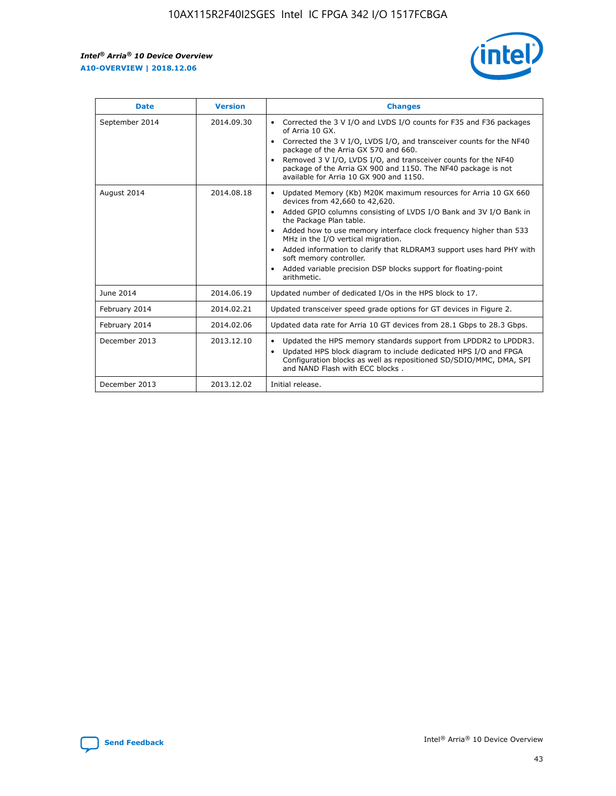r



| <b>Date</b>    | <b>Version</b> | <b>Changes</b>                                                                                                                                                                                                                                                                                                                                                                                                                                                                                                                                      |
|----------------|----------------|-----------------------------------------------------------------------------------------------------------------------------------------------------------------------------------------------------------------------------------------------------------------------------------------------------------------------------------------------------------------------------------------------------------------------------------------------------------------------------------------------------------------------------------------------------|
| September 2014 | 2014.09.30     | Corrected the 3 V I/O and LVDS I/O counts for F35 and F36 packages<br>$\bullet$<br>of Arria 10 GX.<br>Corrected the 3 V I/O, LVDS I/O, and transceiver counts for the NF40<br>$\bullet$<br>package of the Arria GX 570 and 660.<br>Removed 3 V I/O, LVDS I/O, and transceiver counts for the NF40<br>package of the Arria GX 900 and 1150. The NF40 package is not<br>available for Arria 10 GX 900 and 1150.                                                                                                                                       |
| August 2014    | 2014.08.18     | Updated Memory (Kb) M20K maximum resources for Arria 10 GX 660<br>devices from 42,660 to 42,620.<br>Added GPIO columns consisting of LVDS I/O Bank and 3V I/O Bank in<br>$\bullet$<br>the Package Plan table.<br>Added how to use memory interface clock frequency higher than 533<br>$\bullet$<br>MHz in the I/O vertical migration.<br>Added information to clarify that RLDRAM3 support uses hard PHY with<br>$\bullet$<br>soft memory controller.<br>Added variable precision DSP blocks support for floating-point<br>$\bullet$<br>arithmetic. |
| June 2014      | 2014.06.19     | Updated number of dedicated I/Os in the HPS block to 17.                                                                                                                                                                                                                                                                                                                                                                                                                                                                                            |
| February 2014  | 2014.02.21     | Updated transceiver speed grade options for GT devices in Figure 2.                                                                                                                                                                                                                                                                                                                                                                                                                                                                                 |
| February 2014  | 2014.02.06     | Updated data rate for Arria 10 GT devices from 28.1 Gbps to 28.3 Gbps.                                                                                                                                                                                                                                                                                                                                                                                                                                                                              |
| December 2013  | 2013.12.10     | Updated the HPS memory standards support from LPDDR2 to LPDDR3.<br>Updated HPS block diagram to include dedicated HPS I/O and FPGA<br>$\bullet$<br>Configuration blocks as well as repositioned SD/SDIO/MMC, DMA, SPI<br>and NAND Flash with ECC blocks.                                                                                                                                                                                                                                                                                            |
| December 2013  | 2013.12.02     | Initial release.                                                                                                                                                                                                                                                                                                                                                                                                                                                                                                                                    |